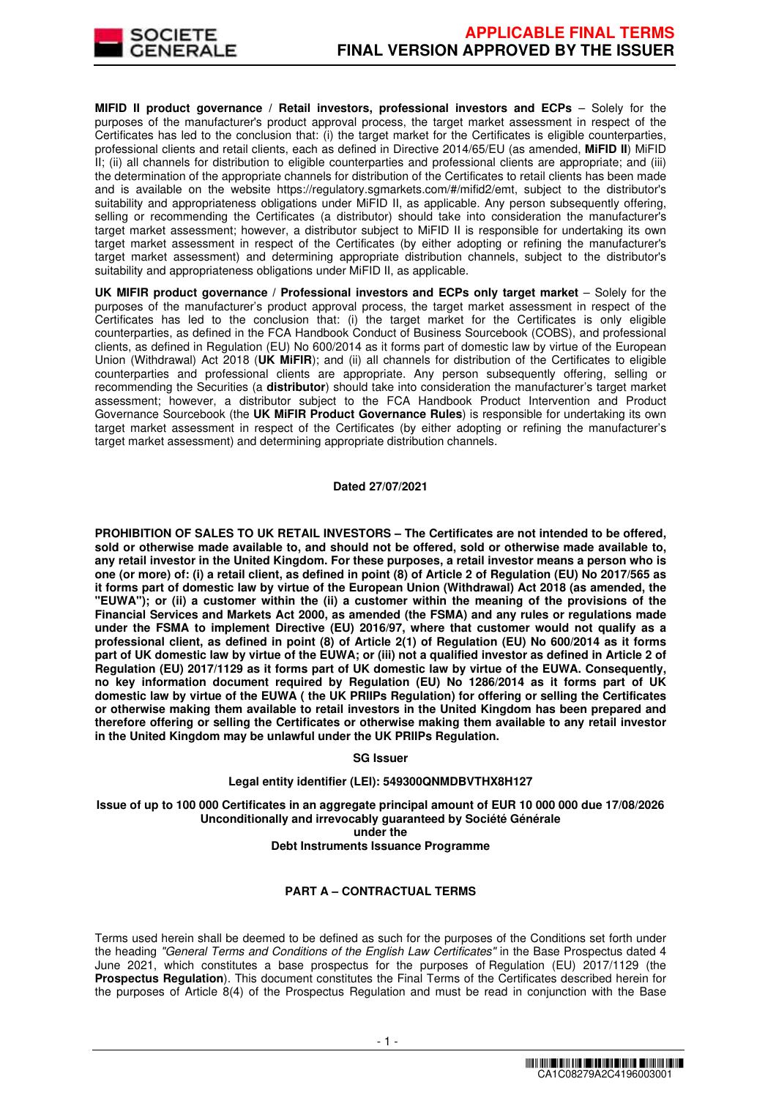

**MIFID II product governance / Retail investors, professional investors and ECPs - Solely for the** purposes of the manufacturer's product approval process, the target market assessment in respect of the Certificates has led to the conclusion that: (i) the target market for the Certificates is eligible counterparties, professional clients and retail clients, each as defined in Directive 2014/65/EU (as amended, **MiFID II**) MiFID II; (ii) all channels for distribution to eligible counterparties and professional clients are appropriate; and (iii) the determination of the appropriate channels for distribution of the Certificates to retail clients has been made and is available on the website https://regulatory.sgmarkets.com/#/mifid2/emt, subject to the distributor's suitability and appropriateness obligations under MiFID II, as applicable. Any person subsequently offering, selling or recommending the Certificates (a distributor) should take into consideration the manufacturer's target market assessment; however, a distributor subject to MiFID II is responsible for undertaking its own target market assessment in respect of the Certificates (by either adopting or refining the manufacturer's target market assessment) and determining appropriate distribution channels, subject to the distributor's suitability and appropriateness obligations under MiFID II, as applicable.

**UK MIFIR product governance / Professional investors and ECPs only target market** – Solely for the purposes of the manufacturer's product approval process, the target market assessment in respect of the Certificates has led to the conclusion that: (i) the target market for the Certificates is only eligible counterparties, as defined in the FCA Handbook Conduct of Business Sourcebook (COBS), and professional clients, as defined in Regulation (EU) No 600/2014 as it forms part of domestic law by virtue of the European Union (Withdrawal) Act 2018 (**UK MiFIR**); and (ii) all channels for distribution of the Certificates to eligible counterparties and professional clients are appropriate. Any person subsequently offering, selling or recommending the Securities (a **distributor**) should take into consideration the manufacturer's target market assessment; however, a distributor subject to the FCA Handbook Product Intervention and Product Governance Sourcebook (the **UK MiFIR Product Governance Rules**) is responsible for undertaking its own target market assessment in respect of the Certificates (by either adopting or refining the manufacturer's target market assessment) and determining appropriate distribution channels.

### **Dated 27/07/2021**

**PROHIBITION OF SALES TO UK RETAIL INVESTORS – The Certificates are not intended to be offered, sold or otherwise made available to, and should not be offered, sold or otherwise made available to, any retail investor in the United Kingdom. For these purposes, a retail investor means a person who is one (or more) of: (i) a retail client, as defined in point (8) of Article 2 of Regulation (EU) No 2017/565 as it forms part of domestic law by virtue of the European Union (Withdrawal) Act 2018 (as amended, the "EUWA"); or (ii) a customer within the (ii) a customer within the meaning of the provisions of the Financial Services and Markets Act 2000, as amended (the FSMA) and any rules or regulations made under the FSMA to implement Directive (EU) 2016/97, where that customer would not qualify as a professional client, as defined in point (8) of Article 2(1) of Regulation (EU) No 600/2014 as it forms part of UK domestic law by virtue of the EUWA; or (iii) not a qualified investor as defined in Article 2 of Regulation (EU) 2017/1129 as it forms part of UK domestic law by virtue of the EUWA. Consequently, no key information document required by Regulation (EU) No 1286/2014 as it forms part of UK domestic law by virtue of the EUWA ( the UK PRIIPs Regulation) for offering or selling the Certificates or otherwise making them available to retail investors in the United Kingdom has been prepared and therefore offering or selling the Certificates or otherwise making them available to any retail investor in the United Kingdom may be unlawful under the UK PRIIPs Regulation.**

#### **SG Issuer**

# **Legal entity identifier (LEI): 549300QNMDBVTHX8H127**

**Issue of up to 100 000 Certificates in an aggregate principal amount of EUR 10 000 000 due 17/08/2026 Unconditionally and irrevocably guaranteed by Société Générale under the** 

#### **Debt Instruments Issuance Programme**

# **PART A – CONTRACTUAL TERMS**

Terms used herein shall be deemed to be defined as such for the purposes of the Conditions set forth under the heading "General Terms and Conditions of the English Law Certificates" in the Base Prospectus dated 4 June 2021, which constitutes a base prospectus for the purposes of Regulation (EU) 2017/1129 (the **Prospectus Regulation**). This document constitutes the Final Terms of the Certificates described herein for the purposes of Article 8(4) of the Prospectus Regulation and must be read in conjunction with the Base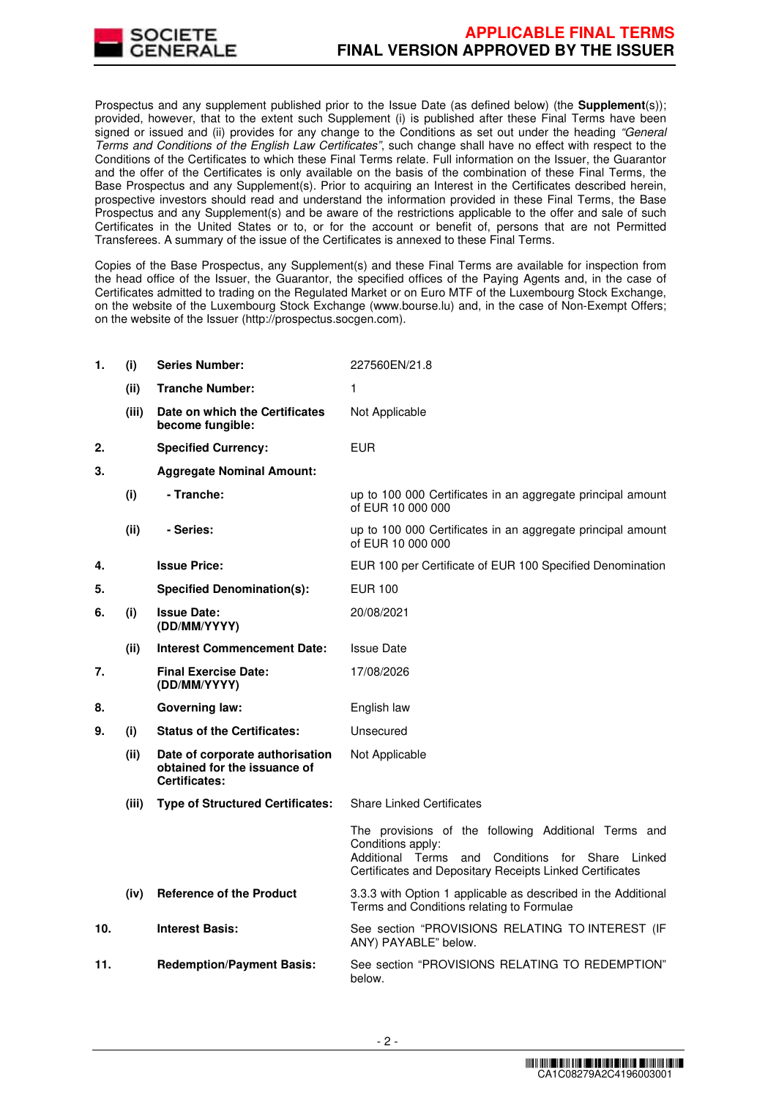

Prospectus and any supplement published prior to the Issue Date (as defined below) (the **Supplement**(s)); provided, however, that to the extent such Supplement (i) is published after these Final Terms have been signed or issued and (ii) provides for any change to the Conditions as set out under the heading "General Terms and Conditions of the English Law Certificates", such change shall have no effect with respect to the Conditions of the Certificates to which these Final Terms relate. Full information on the Issuer, the Guarantor and the offer of the Certificates is only available on the basis of the combination of these Final Terms, the Base Prospectus and any Supplement(s). Prior to acquiring an Interest in the Certificates described herein, prospective investors should read and understand the information provided in these Final Terms, the Base Prospectus and any Supplement(s) and be aware of the restrictions applicable to the offer and sale of such Certificates in the United States or to, or for the account or benefit of, persons that are not Permitted Transferees. A summary of the issue of the Certificates is annexed to these Final Terms.

Copies of the Base Prospectus, any Supplement(s) and these Final Terms are available for inspection from the head office of the Issuer, the Guarantor, the specified offices of the Paying Agents and, in the case of Certificates admitted to trading on the Regulated Market or on Euro MTF of the Luxembourg Stock Exchange, on the website of the Luxembourg Stock Exchange (www.bourse.lu) and, in the case of Non-Exempt Offers; on the website of the Issuer (http://prospectus.socgen.com).

| 1.  | (i)   | <b>Series Number:</b>                                                                   | 227560EN/21.8                                                                                                                                                                                |  |
|-----|-------|-----------------------------------------------------------------------------------------|----------------------------------------------------------------------------------------------------------------------------------------------------------------------------------------------|--|
|     | (ii)  | <b>Tranche Number:</b>                                                                  | 1                                                                                                                                                                                            |  |
|     | (iii) | Date on which the Certificates<br>become fungible:                                      | Not Applicable                                                                                                                                                                               |  |
| 2.  |       | <b>Specified Currency:</b>                                                              | <b>EUR</b>                                                                                                                                                                                   |  |
| 3.  |       | <b>Aggregate Nominal Amount:</b>                                                        |                                                                                                                                                                                              |  |
|     | (i)   | - Tranche:                                                                              | up to 100 000 Certificates in an aggregate principal amount<br>of EUR 10 000 000                                                                                                             |  |
|     | (ii)  | - Series:                                                                               | up to 100 000 Certificates in an aggregate principal amount<br>of EUR 10 000 000                                                                                                             |  |
| 4.  |       | <b>Issue Price:</b>                                                                     | EUR 100 per Certificate of EUR 100 Specified Denomination                                                                                                                                    |  |
| 5.  |       | <b>Specified Denomination(s):</b>                                                       | EUR 100                                                                                                                                                                                      |  |
| 6.  | (i)   | <b>Issue Date:</b><br>(DD/MM/YYYY)                                                      | 20/08/2021                                                                                                                                                                                   |  |
|     | (ii)  | <b>Interest Commencement Date:</b>                                                      | <b>Issue Date</b>                                                                                                                                                                            |  |
| 7.  |       | <b>Final Exercise Date:</b><br>(DD/MM/YYYY)                                             | 17/08/2026                                                                                                                                                                                   |  |
| 8.  |       | <b>Governing law:</b>                                                                   | English law                                                                                                                                                                                  |  |
| 9.  | (i)   | <b>Status of the Certificates:</b>                                                      | Unsecured                                                                                                                                                                                    |  |
|     | (ii)  | Date of corporate authorisation<br>obtained for the issuance of<br><b>Certificates:</b> | Not Applicable                                                                                                                                                                               |  |
|     | (iii) | <b>Type of Structured Certificates:</b>                                                 | <b>Share Linked Certificates</b>                                                                                                                                                             |  |
|     |       |                                                                                         | The provisions of the following Additional Terms and<br>Conditions apply:<br>Additional Terms and Conditions for Share<br>Linked<br>Certificates and Depositary Receipts Linked Certificates |  |
|     | (iv)  | <b>Reference of the Product</b>                                                         | 3.3.3 with Option 1 applicable as described in the Additional<br>Terms and Conditions relating to Formulae                                                                                   |  |
| 10. |       | <b>Interest Basis:</b>                                                                  | See section "PROVISIONS RELATING TO INTEREST (IF<br>ANY) PAYABLE" below.                                                                                                                     |  |
| 11. |       | <b>Redemption/Payment Basis:</b>                                                        | See section "PROVISIONS RELATING TO REDEMPTION"<br>below.                                                                                                                                    |  |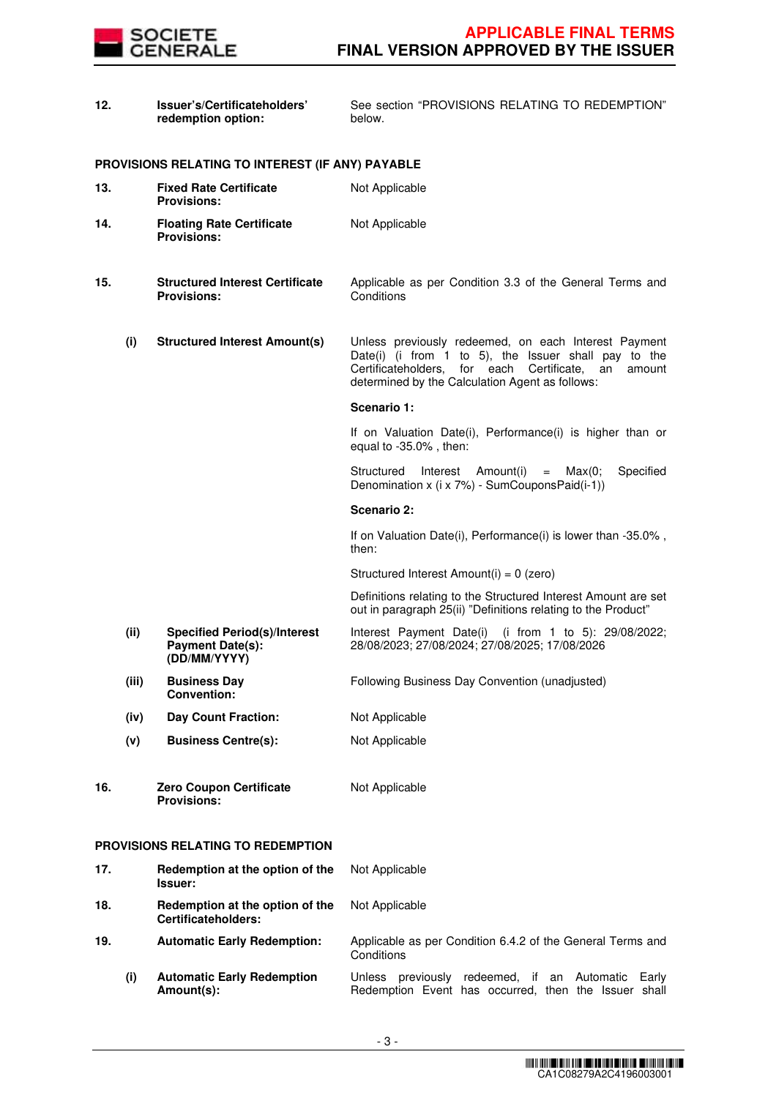

| 12. |       | Issuer's/Certificateholders'<br>redemption option:                             | See section "PROVISIONS RELATING TO REDEMPTION"<br>below.                                                                                                                                                                    |
|-----|-------|--------------------------------------------------------------------------------|------------------------------------------------------------------------------------------------------------------------------------------------------------------------------------------------------------------------------|
|     |       | PROVISIONS RELATING TO INTEREST (IF ANY) PAYABLE                               |                                                                                                                                                                                                                              |
| 13. |       | <b>Fixed Rate Certificate</b><br><b>Provisions:</b>                            | Not Applicable                                                                                                                                                                                                               |
| 14. |       | <b>Floating Rate Certificate</b><br><b>Provisions:</b>                         | Not Applicable                                                                                                                                                                                                               |
| 15. |       | <b>Structured Interest Certificate</b><br><b>Provisions:</b>                   | Applicable as per Condition 3.3 of the General Terms and<br>Conditions                                                                                                                                                       |
|     | (i)   | <b>Structured Interest Amount(s)</b>                                           | Unless previously redeemed, on each Interest Payment<br>Date(i) (i from 1 to 5), the Issuer shall pay to the<br>Certificateholders, for each Certificate,<br>an<br>amount<br>determined by the Calculation Agent as follows: |
|     |       |                                                                                | Scenario 1:                                                                                                                                                                                                                  |
|     |       |                                                                                | If on Valuation Date(i), Performance(i) is higher than or<br>equal to $-35.0\%$ , then:                                                                                                                                      |
|     |       |                                                                                | Structured<br>Interest Amount(i)<br>Specified<br>Max(0;<br>$=$<br>Denomination x (i x 7%) - SumCouponsPaid(i-1))                                                                                                             |
|     |       |                                                                                | Scenario 2:                                                                                                                                                                                                                  |
|     |       |                                                                                | If on Valuation Date(i), Performance(i) is lower than -35.0%,<br>then:                                                                                                                                                       |
|     |       |                                                                                | Structured Interest Amount(i) = 0 (zero)                                                                                                                                                                                     |
|     |       |                                                                                | Definitions relating to the Structured Interest Amount are set<br>out in paragraph 25(ii) "Definitions relating to the Product"                                                                                              |
|     | (ii)  | <b>Specified Period(s)/Interest</b><br><b>Payment Date(s):</b><br>(DD/MM/YYYY) | Interest Payment Date(i) (i from 1 to 5): 29/08/2022;<br>28/08/2023; 27/08/2024; 27/08/2025; 17/08/2026                                                                                                                      |
|     | (iii) | <b>Business Day</b><br><b>Convention:</b>                                      | Following Business Day Convention (unadjusted)                                                                                                                                                                               |
|     | (iv)  | <b>Day Count Fraction:</b>                                                     | Not Applicable                                                                                                                                                                                                               |
|     | (v)   | <b>Business Centre(s):</b>                                                     | Not Applicable                                                                                                                                                                                                               |
| 16. |       | <b>Zero Coupon Certificate</b><br><b>Provisions:</b>                           | Not Applicable                                                                                                                                                                                                               |
|     |       | PROVISIONS RELATING TO REDEMPTION                                              |                                                                                                                                                                                                                              |
| 17. |       | Redemption at the option of the<br><b>Issuer:</b>                              | Not Applicable                                                                                                                                                                                                               |

**18. Redemption at the option of the Certificateholders:**

- **19. Automatic Early Redemption:** Applicable as per Condition 6.4.2 of the General Terms and
	- **Conditions (i) Automatic Early Redemption Amount(s):** Unless previously redeemed, if an Automatic Early Redemption Event has occurred, then the Issuer shall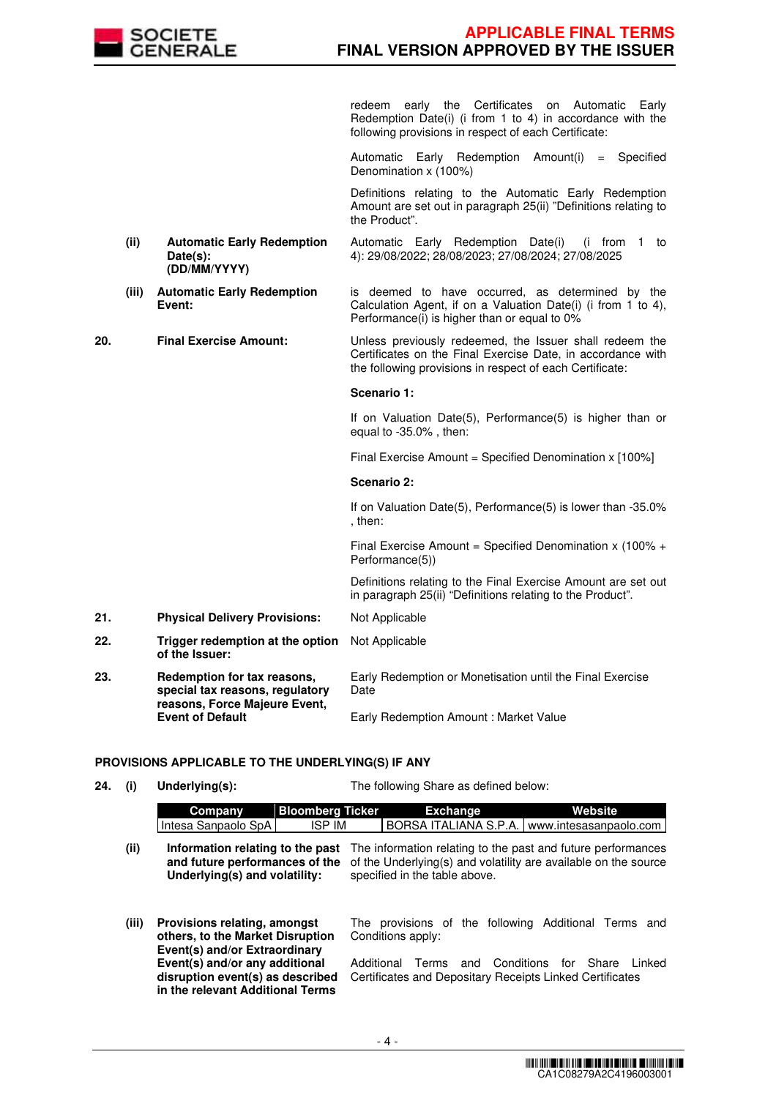

redeem early the Certificates on Automatic Early Redemption Date(i) (i from 1 to 4) in accordance with the following provisions in respect of each Certificate:

Automatic Early Redemption Amount(i) = Specified Denomination x (100%)

 Definitions relating to the Automatic Early Redemption Amount are set out in paragraph 25(ii) "Definitions relating to the Product".

- **(ii) Automatic Early Redemption Date(s): (DD/MM/YYYY)** Automatic Early Redemption Date(i) (i from 1 to 4): 29/08/2022; 28/08/2023; 27/08/2024; 27/08/2025
- **(iii) Automatic Early Redemption Event:** is deemed to have occurred, as determined by the Calculation Agent, if on a Valuation Date(i) (i from 1 to 4), Performance(i) is higher than or equal to 0%

**20. Final Exercise Amount:** Unless previously redeemed, the Issuer shall redeem the Certificates on the Final Exercise Date, in accordance with the following provisions in respect of each Certificate:

### **Scenario 1:**

If on Valuation Date(5), Performance(5) is higher than or equal to -35.0% , then:

Final Exercise Amount = Specified Denomination x [100%]

#### **Scenario 2:**

If on Valuation Date(5), Performance(5) is lower than -35.0% , then:

Final Exercise Amount = Specified Denomination x (100% + Performance(5))

 Definitions relating to the Final Exercise Amount are set out in paragraph 25(ii) "Definitions relating to the Product".

- **21. Physical Delivery Provisions:** Not Applicable
- **22. Trigger redemption at the option of the Issuer:** Not Applicable
- **23. Redemption for tax reasons, special tax reasons, regulatory reasons, Force Majeure Event, Event of Default** Early Redemption or Monetisation until the Final Exercise Date Early Redemption Amount : Market Value

# **PROVISIONS APPLICABLE TO THE UNDERLYING(S) IF ANY**

**24. (i) Underlying(s):** The following Share as defined below:

|       | <b>Bloomberg Ticker</b><br>Company<br><b>ISP IM</b><br>Intesa Sanpaolo SpA                             | Website<br><b>Exchange</b><br>BORSA ITALIANA S.P.A.<br>www.intesasanpaolo.com                                                                                    |
|-------|--------------------------------------------------------------------------------------------------------|------------------------------------------------------------------------------------------------------------------------------------------------------------------|
| (ii)  | Information relating to the past<br>and future performances of the<br>Underlying(s) and volatility:    | The information relating to the past and future performances<br>of the Underlying(s) and volatility are available on the source<br>specified in the table above. |
| (iii) | Provisions relating, amongst<br>others, to the Market Disruption<br>Event(s) and/or Extraordinary      | The provisions of the following Additional Terms and<br>Conditions apply:                                                                                        |
|       | Event(s) and/or any additional<br>disruption event(s) as described<br>in the relevant Additional Terms | Conditions<br>for Share<br>I inked<br>Additional Terms<br>and<br>Certificates and Depositary Receipts Linked Certificates                                        |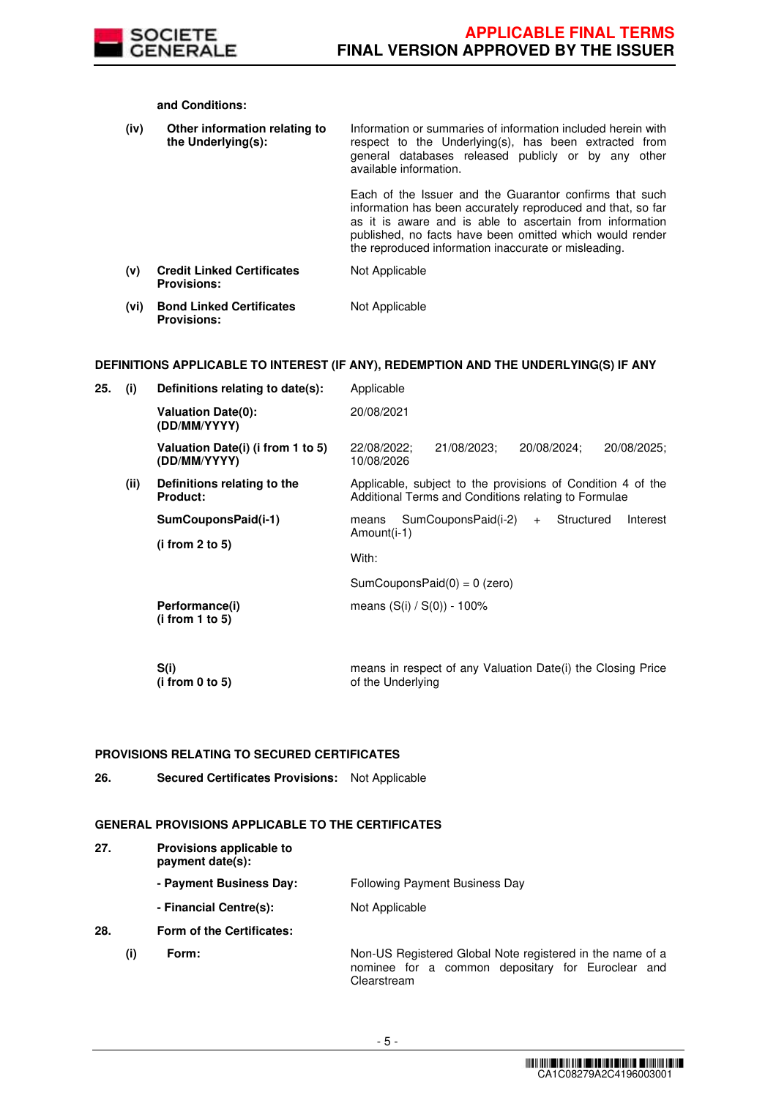

**and Conditions:**

| (iv) | Other information relating to<br>the Underlying(s):     | Information or summaries of information included herein with<br>respect to the Underlying(s), has been extracted from<br>general databases released publicly or by any other<br>available information.                                                                                                 |
|------|---------------------------------------------------------|--------------------------------------------------------------------------------------------------------------------------------------------------------------------------------------------------------------------------------------------------------------------------------------------------------|
|      |                                                         | Each of the Issuer and the Guarantor confirms that such<br>information has been accurately reproduced and that, so far<br>as it is aware and is able to ascertain from information<br>published, no facts have been omitted which would render<br>the reproduced information inaccurate or misleading. |
| (v)  | <b>Credit Linked Certificates</b><br><b>Provisions:</b> | Not Applicable                                                                                                                                                                                                                                                                                         |
| (vi) | <b>Bond Linked Certificates</b><br><b>Provisions:</b>   | Not Applicable                                                                                                                                                                                                                                                                                         |

# **DEFINITIONS APPLICABLE TO INTEREST (IF ANY), REDEMPTION AND THE UNDERLYING(S) IF ANY**

| 25. | (i)  | Definitions relating to date(s):                  | Applicable                                                                                                          |
|-----|------|---------------------------------------------------|---------------------------------------------------------------------------------------------------------------------|
|     |      | <b>Valuation Date(0):</b><br>(DD/MM/YYYY)         | 20/08/2021                                                                                                          |
|     |      | Valuation Date(i) (i from 1 to 5)<br>(DD/MM/YYYY) | 21/08/2023:<br>20/08/2024:<br>20/08/2025:<br>22/08/2022:<br>10/08/2026                                              |
|     | (ii) | Definitions relating to the<br><b>Product:</b>    | Applicable, subject to the provisions of Condition 4 of the<br>Additional Terms and Conditions relating to Formulae |
|     |      | SumCouponsPaid(i-1)<br>(i from 2 to 5)            | SumCouponsPaid(i-2)<br>Structured<br>Interest<br>means<br>$+$<br>Amount(i-1)                                        |
|     |      |                                                   | With:                                                                                                               |
|     |      |                                                   | $SumCouponsPaid(0) = 0$ (zero)                                                                                      |
|     |      | Performance(i)<br>(i from 1 to 5)                 | means $(S(i) / S(0)) - 100\%$                                                                                       |
|     |      | S(i)<br>(i from 0 to 5)                           | means in respect of any Valuation Date(i) the Closing Price<br>of the Underlying                                    |

# **PROVISIONS RELATING TO SECURED CERTIFICATES**

**26. Secured Certificates Provisions:** Not Applicable

# **GENERAL PROVISIONS APPLICABLE TO THE CERTIFICATES**

| 27. |     | Provisions applicable to<br>payment date(s): |                                                                                                                |
|-----|-----|----------------------------------------------|----------------------------------------------------------------------------------------------------------------|
|     |     | - Payment Business Day:                      | Following Payment Business Day                                                                                 |
|     |     | - Financial Centre(s):                       | Not Applicable                                                                                                 |
| 28. |     | Form of the Certificates:                    |                                                                                                                |
|     | (i) | Form:                                        | Non-US Registered Global Note registered in the name of a<br>nominee for a common depositary for Euroclear and |

Clearstream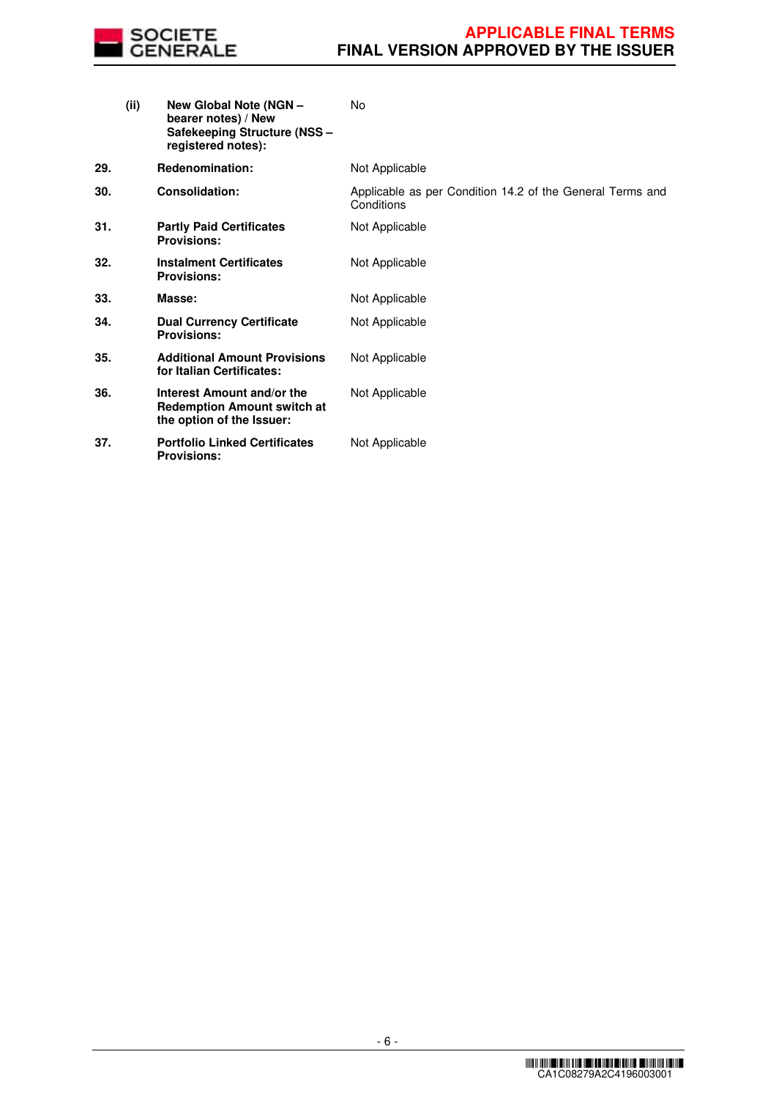

|     | (ii) | New Global Note (NGN -<br>bearer notes) / New<br>Safekeeping Structure (NSS -<br>registered notes): | No                                                                      |
|-----|------|-----------------------------------------------------------------------------------------------------|-------------------------------------------------------------------------|
| 29. |      | <b>Redenomination:</b>                                                                              | Not Applicable                                                          |
| 30. |      | <b>Consolidation:</b>                                                                               | Applicable as per Condition 14.2 of the General Terms and<br>Conditions |
| 31. |      | <b>Partly Paid Certificates</b><br><b>Provisions:</b>                                               | Not Applicable                                                          |
| 32. |      | <b>Instalment Certificates</b><br><b>Provisions:</b>                                                | Not Applicable                                                          |
| 33. |      | Masse:                                                                                              | Not Applicable                                                          |
| 34. |      | <b>Dual Currency Certificate</b><br><b>Provisions:</b>                                              | Not Applicable                                                          |
| 35. |      | <b>Additional Amount Provisions</b><br>for Italian Certificates:                                    | Not Applicable                                                          |
| 36. |      | Interest Amount and/or the<br><b>Redemption Amount switch at</b><br>the option of the Issuer:       | Not Applicable                                                          |
| 37. |      | <b>Portfolio Linked Certificates</b><br><b>Provisions:</b>                                          | Not Applicable                                                          |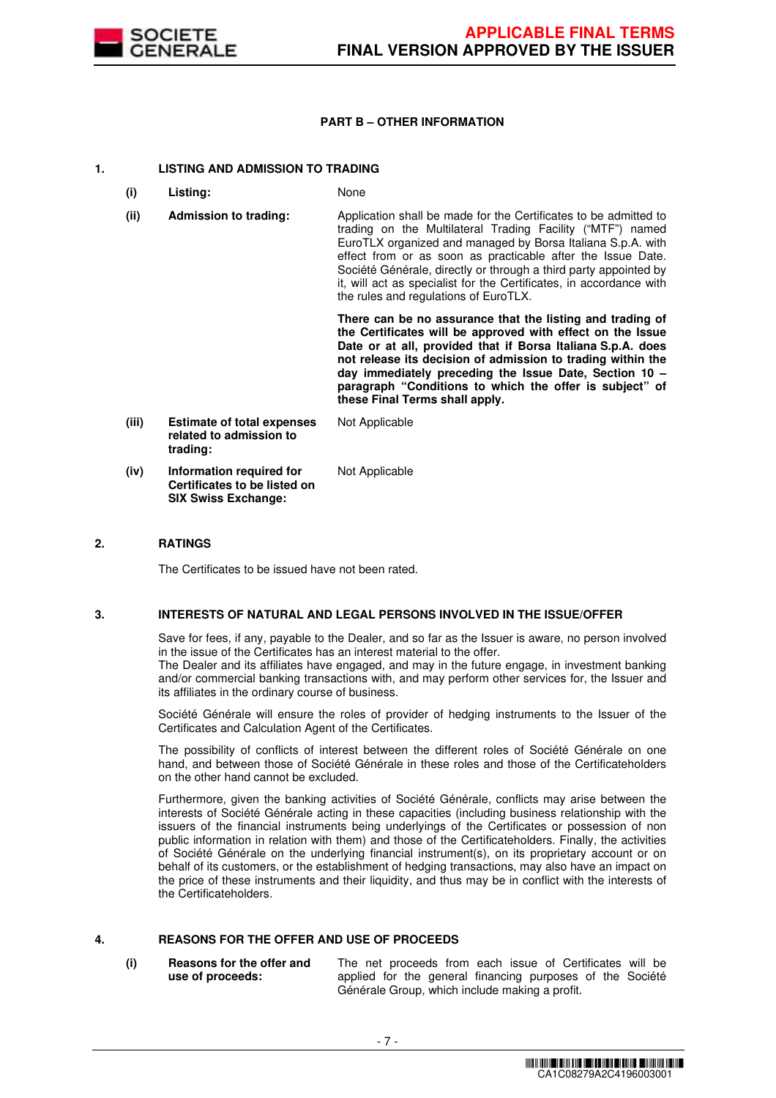

# **PART B – OTHER INFORMATION**

# **1. LISTING AND ADMISSION TO TRADING**

- **(i) Listing:** None
- **(ii) Admission to trading:** Application shall be made for the Certificates to be admitted to trading on the Multilateral Trading Facility ("MTF") named EuroTLX organized and managed by Borsa Italiana S.p.A. with effect from or as soon as practicable after the Issue Date. Société Générale, directly or through a third party appointed by it, will act as specialist for the Certificates, in accordance with the rules and regulations of EuroTLX.

 **There can be no assurance that the listing and trading of the Certificates will be approved with effect on the Issue Date or at all, provided that if Borsa Italiana S.p.A. does not release its decision of admission to trading within the day immediately preceding the Issue Date, Section 10 – paragraph "Conditions to which the offer is subject" of these Final Terms shall apply.**

**(iii) Estimate of total expenses related to admission to trading:** Not Applicable **(iv) Information required for Certificates to be listed on SIX Swiss Exchange:** Not Applicable

# **2. RATINGS**

The Certificates to be issued have not been rated.

# **3. INTERESTS OF NATURAL AND LEGAL PERSONS INVOLVED IN THE ISSUE/OFFER**

 Save for fees, if any, payable to the Dealer, and so far as the Issuer is aware, no person involved in the issue of the Certificates has an interest material to the offer.

The Dealer and its affiliates have engaged, and may in the future engage, in investment banking and/or commercial banking transactions with, and may perform other services for, the Issuer and its affiliates in the ordinary course of business.

 Société Générale will ensure the roles of provider of hedging instruments to the Issuer of the Certificates and Calculation Agent of the Certificates.

 The possibility of conflicts of interest between the different roles of Société Générale on one hand, and between those of Société Générale in these roles and those of the Certificateholders on the other hand cannot be excluded.

 Furthermore, given the banking activities of Société Générale, conflicts may arise between the interests of Société Générale acting in these capacities (including business relationship with the issuers of the financial instruments being underlyings of the Certificates or possession of non public information in relation with them) and those of the Certificateholders. Finally, the activities of Société Générale on the underlying financial instrument(s), on its proprietary account or on behalf of its customers, or the establishment of hedging transactions, may also have an impact on the price of these instruments and their liquidity, and thus may be in conflict with the interests of the Certificateholders.

# **4. REASONS FOR THE OFFER AND USE OF PROCEEDS**

**(i) Reasons for the offer and use of proceeds:**

The net proceeds from each issue of Certificates will be applied for the general financing purposes of the Société Générale Group, which include making a profit.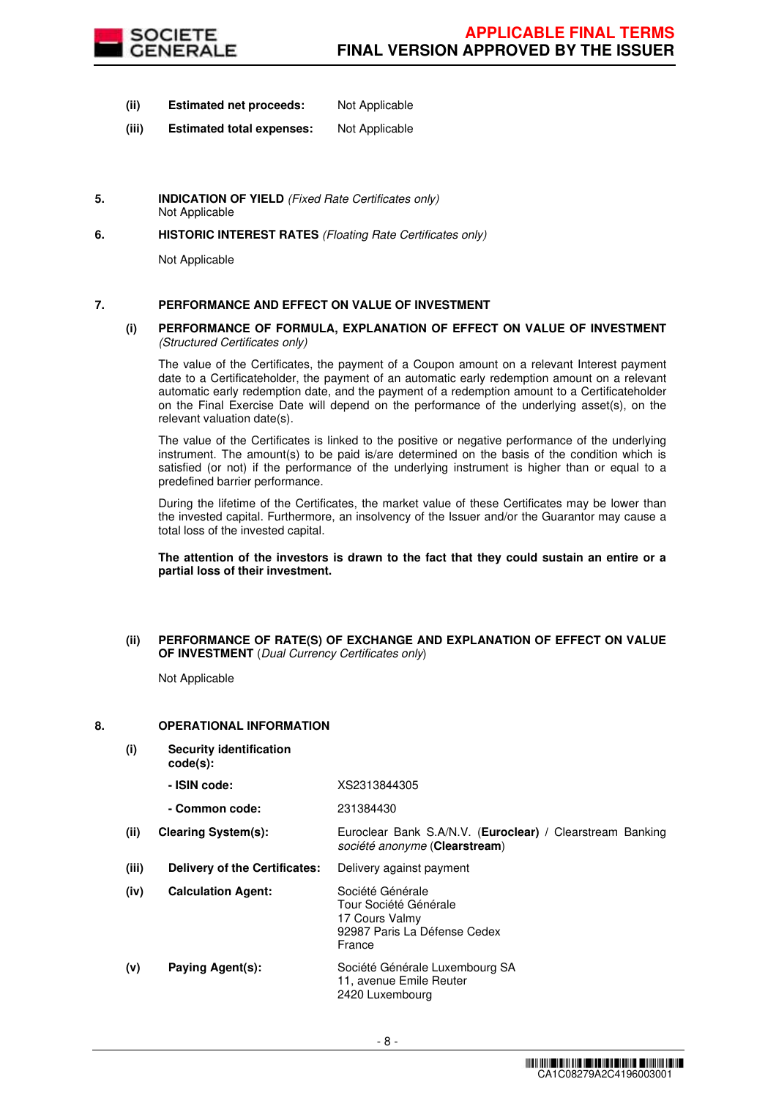

- **(ii) Estimated net proceeds:** Not Applicable
- **(iii) Estimated total expenses:** Not Applicable
- **5. INDICATION OF YIELD** (Fixed Rate Certificates only) Not Applicable
- **6. HISTORIC INTEREST RATES** (Floating Rate Certificates only)

Not Applicable

# **7. PERFORMANCE AND EFFECT ON VALUE OF INVESTMENT**

#### **(i) PERFORMANCE OF FORMULA, EXPLANATION OF EFFECT ON VALUE OF INVESTMENT**  (Structured Certificates only)

 The value of the Certificates, the payment of a Coupon amount on a relevant Interest payment date to a Certificateholder, the payment of an automatic early redemption amount on a relevant automatic early redemption date, and the payment of a redemption amount to a Certificateholder on the Final Exercise Date will depend on the performance of the underlying asset(s), on the relevant valuation date(s).

 The value of the Certificates is linked to the positive or negative performance of the underlying instrument. The amount(s) to be paid is/are determined on the basis of the condition which is satisfied (or not) if the performance of the underlying instrument is higher than or equal to a predefined barrier performance.

 During the lifetime of the Certificates, the market value of these Certificates may be lower than the invested capital. Furthermore, an insolvency of the Issuer and/or the Guarantor may cause a total loss of the invested capital.

**The attention of the investors is drawn to the fact that they could sustain an entire or a partial loss of their investment.**

#### **(ii) PERFORMANCE OF RATE(S) OF EXCHANGE AND EXPLANATION OF EFFECT ON VALUE OF INVESTMENT** (Dual Currency Certificates only)

Not Applicable

# **8. OPERATIONAL INFORMATION**

**(i) Security identification code(s): - ISIN code:** XS2313844305 **- Common code:** 231384430 **(ii) Clearing System(s):** Euroclear Bank S.A/N.V. (**Euroclear) /** Clearstream Banking société anonyme (**Clearstream**) **(iii) Delivery of the Certificates:** Delivery against payment **(iv) Calculation Agent:** Société Générale Tour Société Générale 17 Cours Valmy 92987 Paris La Défense Cedex France **(v) Paying Agent(s):** Société Générale Luxembourg SA 11, avenue Emile Reuter 2420 Luxembourg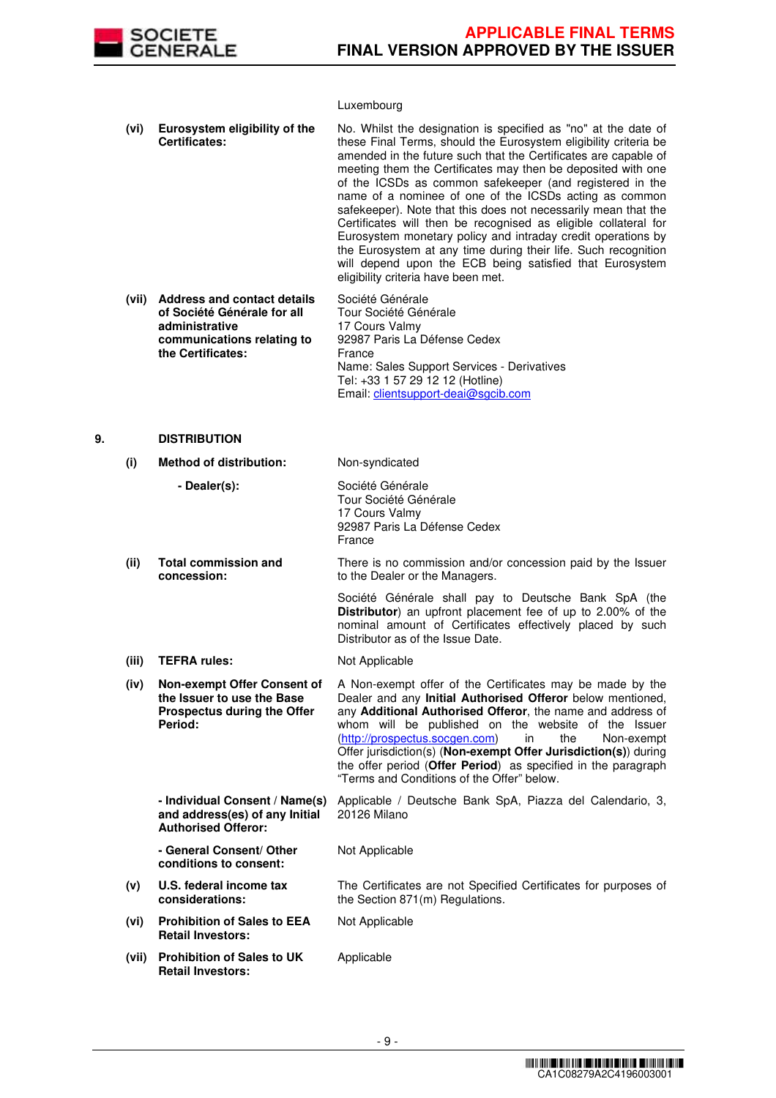

# Luxembourg

|    | (vi)  | Eurosystem eligibility of the<br><b>Certificates:</b>                                                                                  | No. Whilst the designation is specified as "no" at the date of<br>these Final Terms, should the Eurosystem eligibility criteria be<br>amended in the future such that the Certificates are capable of<br>meeting them the Certificates may then be deposited with one<br>of the ICSDs as common safekeeper (and registered in the<br>name of a nominee of one of the ICSDs acting as common<br>safekeeper). Note that this does not necessarily mean that the<br>Certificates will then be recognised as eligible collateral for<br>Eurosystem monetary policy and intraday credit operations by<br>the Eurosystem at any time during their life. Such recognition<br>will depend upon the ECB being satisfied that Eurosystem<br>eligibility criteria have been met. |
|----|-------|----------------------------------------------------------------------------------------------------------------------------------------|-----------------------------------------------------------------------------------------------------------------------------------------------------------------------------------------------------------------------------------------------------------------------------------------------------------------------------------------------------------------------------------------------------------------------------------------------------------------------------------------------------------------------------------------------------------------------------------------------------------------------------------------------------------------------------------------------------------------------------------------------------------------------|
|    | (vii) | <b>Address and contact details</b><br>of Société Générale for all<br>administrative<br>communications relating to<br>the Certificates: | Société Générale<br>Tour Société Générale<br>17 Cours Valmy<br>92987 Paris La Défense Cedex<br>France<br>Name: Sales Support Services - Derivatives<br>Tel: +33 1 57 29 12 12 (Hotline)<br>Email: clientsupport-deai@sgcib.com                                                                                                                                                                                                                                                                                                                                                                                                                                                                                                                                        |
| 9. |       | <b>DISTRIBUTION</b>                                                                                                                    |                                                                                                                                                                                                                                                                                                                                                                                                                                                                                                                                                                                                                                                                                                                                                                       |
|    | (i)   | <b>Method of distribution:</b>                                                                                                         | Non-syndicated                                                                                                                                                                                                                                                                                                                                                                                                                                                                                                                                                                                                                                                                                                                                                        |

 **- Dealer(s):** Société Générale Tour Société Générale 17 Cours Valmy 92987 Paris La Défense Cedex France **(ii) Total commission and concession:** There is no commission and/or concession paid by the Issuer to the Dealer or the Managers. Société Générale shall pay to Deutsche Bank SpA (the **Distributor**) an upfront placement fee of up to 2.00% of the nominal amount of Certificates effectively placed by such Distributor as of the Issue Date. (iii) **TEFRA rules:** Not Applicable **(iv) Non-exempt Offer Consent of the Issuer to use the Base Prospectus during the Offer Period:** A Non-exempt offer of the Certificates may be made by the Dealer and any **Initial Authorised Offeror** below mentioned, any **Additional Authorised Offeror**, the name and address of whom will be published on the website of the Issuer (http://prospectus.socgen.com) in the Non-exempt Offer jurisdiction(s) (**Non-exempt Offer Jurisdiction(s)**) during the offer period (**Offer Period**) as specified in the paragraph "Terms and Conditions of the Offer" below. **- Individual Consent / Name(s) and address(es) of any Initial Authorised Offeror:** Applicable / Deutsche Bank SpA, Piazza del Calendario, 3, 20126 Milano **- General Consent/ Other conditions to consent:** Not Applicable **(v) U.S. federal income tax considerations:** The Certificates are not Specified Certificates for purposes of the Section 871(m) Regulations. **(vi) Prohibition of Sales to EEA Retail Investors:** Not Applicable **(vii) Prohibition of Sales to UK**  Applicable

**Retail Investors:**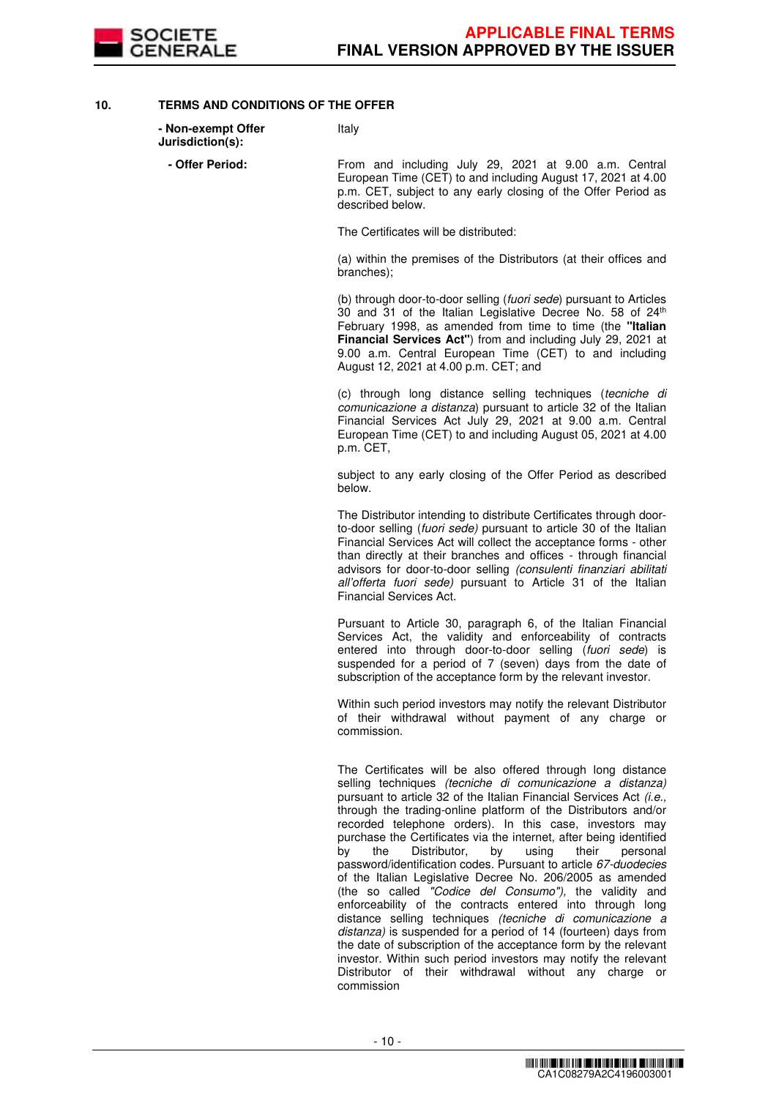

# **10. TERMS AND CONDITIONS OF THE OFFER**

| - Non-exempt Offer<br>Jurisdiction(s): | Italy                                                                                                                                                                                                                                                                                                                                                            |
|----------------------------------------|------------------------------------------------------------------------------------------------------------------------------------------------------------------------------------------------------------------------------------------------------------------------------------------------------------------------------------------------------------------|
| - Offer Period:                        | From and including July 29, 2021 at 9.00 a.m. Central<br>European Time (CET) to and including August 17, 2021 at 4.00<br>p.m. CET, subject to any early closing of the Offer Period as<br>described below.                                                                                                                                                       |
|                                        | The Certificates will be distributed:                                                                                                                                                                                                                                                                                                                            |
|                                        | (a) within the premises of the Distributors (at their offices and<br>branches);                                                                                                                                                                                                                                                                                  |
|                                        | (b) through door-to-door selling (fuori sede) pursuant to Articles<br>30 and 31 of the Italian Legislative Decree No. 58 of 24th<br>February 1998, as amended from time to time (the "Italian<br>Financial Services Act") from and including July 29, 2021 at<br>9.00 a.m. Central European Time (CET) to and including<br>August 12, 2021 at 4.00 p.m. CET; and |
|                                        | (c) through long distance selling techniques ( <i>tecniche di</i><br><i>comunicazione a distanza</i> ) pursuant to article 32 of the Italian<br>Financial Services Act July 29, 2021 at 9.00 a.m. Central<br>European Time (CET) to and including August 05, 2021 at 4.00<br>p.m. CET,                                                                           |

subject to any early closing of the Offer Period as described below.

The Distributor intending to distribute Certificates through doorto-door selling (fuori sede) pursuant to article 30 of the Italian Financial Services Act will collect the acceptance forms - other than directly at their branches and offices - through financial advisors for door-to-door selling (consulenti finanziari abilitati all'offerta fuori sede) pursuant to Article 31 of the Italian Financial Services Act.

Pursuant to Article 30, paragraph 6, of the Italian Financial Services Act, the validity and enforceability of contracts entered into through door-to-door selling (fuori sede) is suspended for a period of 7 (seven) days from the date of subscription of the acceptance form by the relevant investor.

Within such period investors may notify the relevant Distributor of their withdrawal without payment of any charge or commission.

The Certificates will be also offered through long distance selling techniques *(tecniche di comunicazione a distanza)* pursuant to article 32 of the Italian Financial Services Act (i.e., through the trading-online platform of the Distributors and/or recorded telephone orders). In this case, investors may purchase the Certificates via the internet, after being identified<br>by the Distributor, by using their personal Distributor, password/identification codes. Pursuant to article 67-duodecies of the Italian Legislative Decree No. 206/2005 as amended (the so called "Codice del Consumo"), the validity and enforceability of the contracts entered into through long distance selling techniques (tecniche di comunicazione a distanza) is suspended for a period of 14 (fourteen) days from the date of subscription of the acceptance form by the relevant investor. Within such period investors may notify the relevant Distributor of their withdrawal without any charge or commission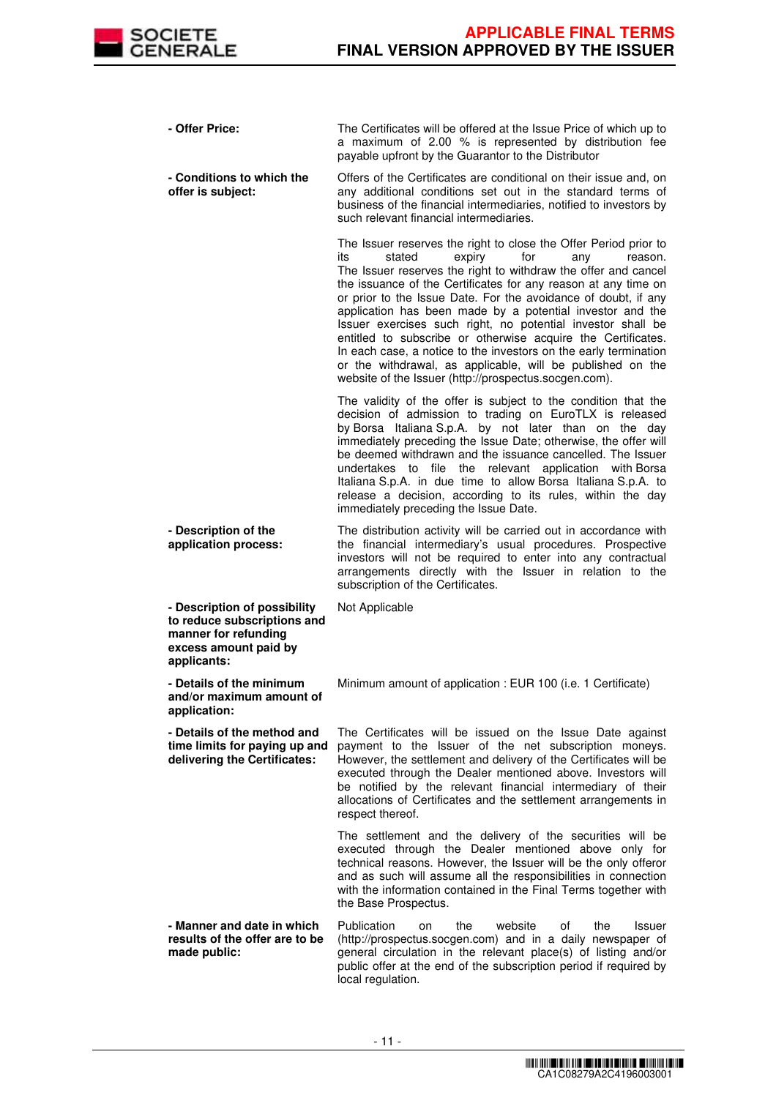

| - Offer Price:                                                                                                              | The Certificates will be offered at the Issue Price of which up to<br>a maximum of 2.00 % is represented by distribution fee<br>payable upfront by the Guarantor to the Distributor                                                                                                                                                                                                                                                                                                                                                                                                                                                                                                                               |
|-----------------------------------------------------------------------------------------------------------------------------|-------------------------------------------------------------------------------------------------------------------------------------------------------------------------------------------------------------------------------------------------------------------------------------------------------------------------------------------------------------------------------------------------------------------------------------------------------------------------------------------------------------------------------------------------------------------------------------------------------------------------------------------------------------------------------------------------------------------|
| - Conditions to which the<br>offer is subject:                                                                              | Offers of the Certificates are conditional on their issue and, on<br>any additional conditions set out in the standard terms of<br>business of the financial intermediaries, notified to investors by<br>such relevant financial intermediaries.                                                                                                                                                                                                                                                                                                                                                                                                                                                                  |
|                                                                                                                             | The Issuer reserves the right to close the Offer Period prior to<br>its<br>stated<br>expiry<br>for<br>any<br>reason.<br>The Issuer reserves the right to withdraw the offer and cancel<br>the issuance of the Certificates for any reason at any time on<br>or prior to the Issue Date. For the avoidance of doubt, if any<br>application has been made by a potential investor and the<br>Issuer exercises such right, no potential investor shall be<br>entitled to subscribe or otherwise acquire the Certificates.<br>In each case, a notice to the investors on the early termination<br>or the withdrawal, as applicable, will be published on the<br>website of the Issuer (http://prospectus.socgen.com). |
|                                                                                                                             | The validity of the offer is subject to the condition that the<br>decision of admission to trading on EuroTLX is released<br>by Borsa Italiana S.p.A. by not later than on the day<br>immediately preceding the Issue Date; otherwise, the offer will<br>be deemed withdrawn and the issuance cancelled. The Issuer<br>undertakes to file the relevant application with Borsa<br>Italiana S.p.A. in due time to allow Borsa Italiana S.p.A. to<br>release a decision, according to its rules, within the day<br>immediately preceding the Issue Date.                                                                                                                                                             |
| - Description of the<br>application process:                                                                                | The distribution activity will be carried out in accordance with<br>the financial intermediary's usual procedures. Prospective<br>investors will not be required to enter into any contractual<br>arrangements directly with the Issuer in relation to the<br>subscription of the Certificates.                                                                                                                                                                                                                                                                                                                                                                                                                   |
| - Description of possibility<br>to reduce subscriptions and<br>manner for refunding<br>excess amount paid by<br>applicants: | Not Applicable                                                                                                                                                                                                                                                                                                                                                                                                                                                                                                                                                                                                                                                                                                    |
| - Details of the minimum<br>and/or maximum amount of<br>application:                                                        | Minimum amount of application : EUR 100 (i.e. 1 Certificate)                                                                                                                                                                                                                                                                                                                                                                                                                                                                                                                                                                                                                                                      |
| - Details of the method and<br>time limits for paying up and<br>delivering the Certificates:                                | The Certificates will be issued on the Issue Date against<br>payment to the Issuer of the net subscription moneys.<br>However, the settlement and delivery of the Certificates will be<br>executed through the Dealer mentioned above. Investors will<br>be notified by the relevant financial intermediary of their<br>allocations of Certificates and the settlement arrangements in<br>respect thereof.                                                                                                                                                                                                                                                                                                        |
|                                                                                                                             | The settlement and the delivery of the securities will be<br>executed through the Dealer mentioned above only for<br>technical reasons. However, the Issuer will be the only offeror<br>and as such will assume all the responsibilities in connection<br>with the information contained in the Final Terms together with<br>the Base Prospectus.                                                                                                                                                                                                                                                                                                                                                                 |
| - Manner and date in which<br>results of the offer are to be<br>made public:                                                | Publication<br>the<br>website<br>of<br>the<br><b>Issuer</b><br>on<br>(http://prospectus.socgen.com) and in a daily newspaper of<br>general circulation in the relevant place(s) of listing and/or<br>public offer at the end of the subscription period if required by<br>local regulation.                                                                                                                                                                                                                                                                                                                                                                                                                       |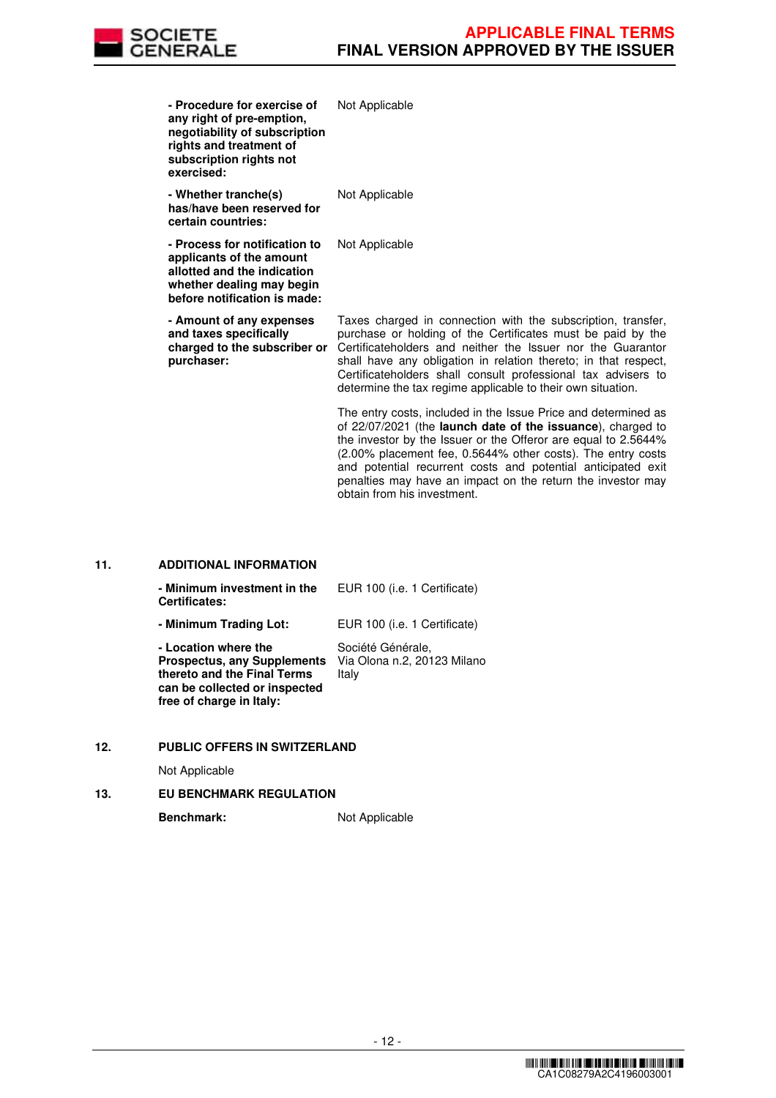

and potential recurrent costs and potential anticipated exit penalties may have an impact on the return the investor may

| - Procedure for exercise of<br>any right of pre-emption,<br>negotiability of subscription<br>rights and treatment of<br>subscription rights not<br>exercised: | Not Applicable                                                                                                                                                                                                                                                                                                                                                                                |
|---------------------------------------------------------------------------------------------------------------------------------------------------------------|-----------------------------------------------------------------------------------------------------------------------------------------------------------------------------------------------------------------------------------------------------------------------------------------------------------------------------------------------------------------------------------------------|
| - Whether tranche(s)<br>has/have been reserved for<br>certain countries:                                                                                      | Not Applicable                                                                                                                                                                                                                                                                                                                                                                                |
| - Process for notification to<br>applicants of the amount<br>allotted and the indication<br>whether dealing may begin<br>before notification is made:         | Not Applicable                                                                                                                                                                                                                                                                                                                                                                                |
| - Amount of any expenses<br>and taxes specifically<br>charged to the subscriber or<br>purchaser:                                                              | Taxes charged in connection with the subscription, transfer,<br>purchase or holding of the Certificates must be paid by the<br>Certificateholders and neither the Issuer nor the Guarantor<br>shall have any obligation in relation thereto; in that respect,<br>Certificateholders shall consult professional tax advisers to<br>determine the tax regime applicable to their own situation. |
|                                                                                                                                                               | The entry costs, included in the Issue Price and determined as<br>of 22/07/2021 (the <b>launch date of the issuance</b> ), charged to<br>the investor by the Issuer or the Offeror are equal to 2.5644%<br>(2.00% placement fee, 0.5644% other costs). The entry costs                                                                                                                        |

obtain from his investment.

# **11. ADDITIONAL INFORMATION**

| - Minimum investment in the<br><b>Certificates:</b>                                                                                                    | EUR 100 (i.e. 1 Certificate)                              |
|--------------------------------------------------------------------------------------------------------------------------------------------------------|-----------------------------------------------------------|
| - Minimum Trading Lot:                                                                                                                                 | EUR 100 (i.e. 1 Certificate)                              |
| - Location where the<br><b>Prospectus, any Supplements</b><br>thereto and the Final Terms<br>can be collected or inspected<br>free of charge in Italy: | Société Générale,<br>Via Olona n.2, 20123 Milano<br>Italy |

#### **12. PUBLIC OFFERS IN SWITZERLAND**

Not Applicable

# **13. EU BENCHMARK REGULATION**

Benchmark: Not Applicable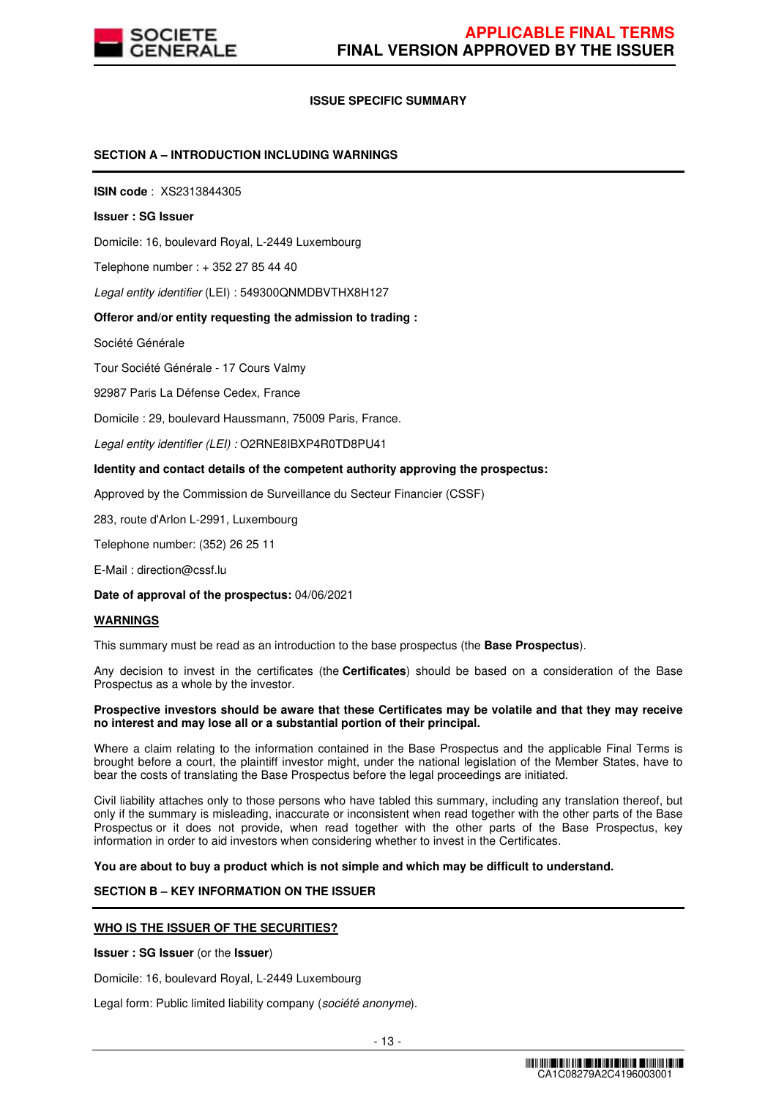

# **ISSUE SPECIFIC SUMMARY**

### **SECTION A – INTRODUCTION INCLUDING WARNINGS**

**ISIN code** : XS2313844305

#### **Issuer : SG Issuer**

Domicile: 16, boulevard Royal, L-2449 Luxembourg

Telephone number : + 352 27 85 44 40

Legal entity identifier (LEI) : 549300QNMDBVTHX8H127

#### **Offeror and/or entity requesting the admission to trading :**

Société Générale

Tour Société Générale - 17 Cours Valmy

92987 Paris La Défense Cedex, France

Domicile : 29, boulevard Haussmann, 75009 Paris, France.

Legal entity identifier (LEI) : O2RNE8IBXP4R0TD8PU41

#### **Identity and contact details of the competent authority approving the prospectus:**

Approved by the Commission de Surveillance du Secteur Financier (CSSF)

283, route d'Arlon L-2991, Luxembourg

Telephone number: (352) 26 25 11

E-Mail : direction@cssf.lu

**Date of approval of the prospectus:** 04/06/2021

#### **WARNINGS**

This summary must be read as an introduction to the base prospectus (the **Base Prospectus**).

Any decision to invest in the certificates (the **Certificates**) should be based on a consideration of the Base Prospectus as a whole by the investor.

#### **Prospective investors should be aware that these Certificates may be volatile and that they may receive no interest and may lose all or a substantial portion of their principal.**

Where a claim relating to the information contained in the Base Prospectus and the applicable Final Terms is brought before a court, the plaintiff investor might, under the national legislation of the Member States, have to bear the costs of translating the Base Prospectus before the legal proceedings are initiated.

Civil liability attaches only to those persons who have tabled this summary, including any translation thereof, but only if the summary is misleading, inaccurate or inconsistent when read together with the other parts of the Base Prospectus or it does not provide, when read together with the other parts of the Base Prospectus, key information in order to aid investors when considering whether to invest in the Certificates.

**You are about to buy a product which is not simple and which may be difficult to understand.**

# **SECTION B – KEY INFORMATION ON THE ISSUER**

#### **WHO IS THE ISSUER OF THE SECURITIES?**

**Issuer : SG Issuer** (or the **Issuer**)

Domicile: 16, boulevard Royal, L-2449 Luxembourg

Legal form: Public limited liability company (société anonyme).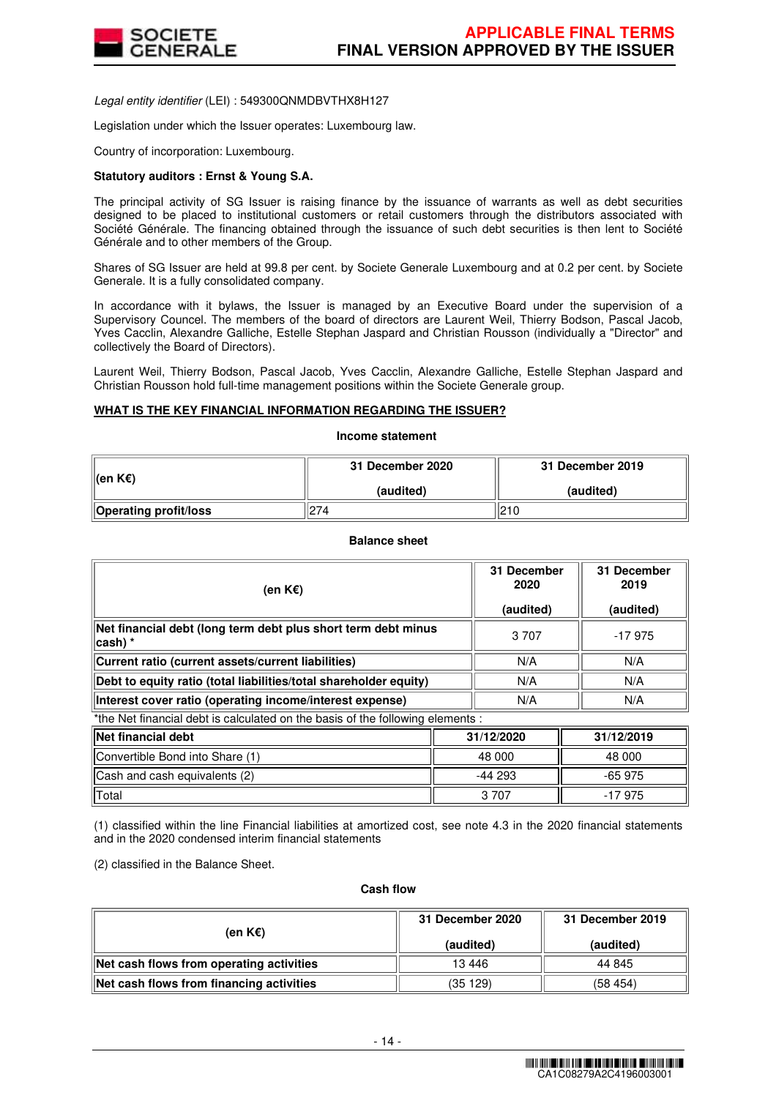

Legal entity identifier (LEI) : 549300QNMDBVTHX8H127

Legislation under which the Issuer operates: Luxembourg law.

Country of incorporation: Luxembourg.

### **Statutory auditors : Ernst & Young S.A.**

The principal activity of SG Issuer is raising finance by the issuance of warrants as well as debt securities designed to be placed to institutional customers or retail customers through the distributors associated with Société Générale. The financing obtained through the issuance of such debt securities is then lent to Société Générale and to other members of the Group.

Shares of SG Issuer are held at 99.8 per cent. by Societe Generale Luxembourg and at 0.2 per cent. by Societe Generale. It is a fully consolidated company.

In accordance with it bylaws, the Issuer is managed by an Executive Board under the supervision of a Supervisory Councel. The members of the board of directors are Laurent Weil, Thierry Bodson, Pascal Jacob, Yves Cacclin, Alexandre Galliche, Estelle Stephan Jaspard and Christian Rousson (individually a "Director" and collectively the Board of Directors).

Laurent Weil, Thierry Bodson, Pascal Jacob, Yves Cacclin, Alexandre Galliche, Estelle Stephan Jaspard and Christian Rousson hold full-time management positions within the Societe Generale group.

# **WHAT IS THE KEY FINANCIAL INFORMATION REGARDING THE ISSUER?**

**Income statement**

| ∥(en K€)                     | 31 December 2020 | 31 December 2019 |  |
|------------------------------|------------------|------------------|--|
|                              | (audited)        | (audited)        |  |
| <b>Operating profit/loss</b> | 274              | 210              |  |

#### **Balance sheet**

| (en K€)                                                                        | 31 December<br>2020<br>(audited) | 31 December<br>2019<br>(audited) |  |  |
|--------------------------------------------------------------------------------|----------------------------------|----------------------------------|--|--|
| Net financial debt (long term debt plus short term debt minus<br>∣cash) *      | 3 7 0 7                          | -17975                           |  |  |
| Current ratio (current assets/current liabilities)                             | N/A                              | N/A                              |  |  |
| Debt to equity ratio (total liabilities/total shareholder equity)              | N/A                              | N/A                              |  |  |
| Interest cover ratio (operating income/interest expense)                       | N/A                              | N/A                              |  |  |
| *the Net financial debt is calculated on the basis of the following elements : |                                  |                                  |  |  |

| <b>Net financial debt</b>       | 31/12/2020 | 31/12/2019 |
|---------------------------------|------------|------------|
| Convertible Bond into Share (1) | 48 000     | 48 000     |
| Cash and cash equivalents (2)   | -44 293    | $-65975$   |
| Total                           | 3 7 0 7    | $-17975$   |

(1) classified within the line Financial liabilities at amortized cost, see note 4.3 in the 2020 financial statements and in the 2020 condensed interim financial statements

(2) classified in the Balance Sheet.

#### **Cash flow**

| (en K€)                                  | 31 December 2020 | 31 December 2019 |  |
|------------------------------------------|------------------|------------------|--|
|                                          | (audited)        | (audited)        |  |
| Net cash flows from operating activities | 13 4 46          | 44 845           |  |
| Net cash flows from financing activities | (35 129)         | (58454)          |  |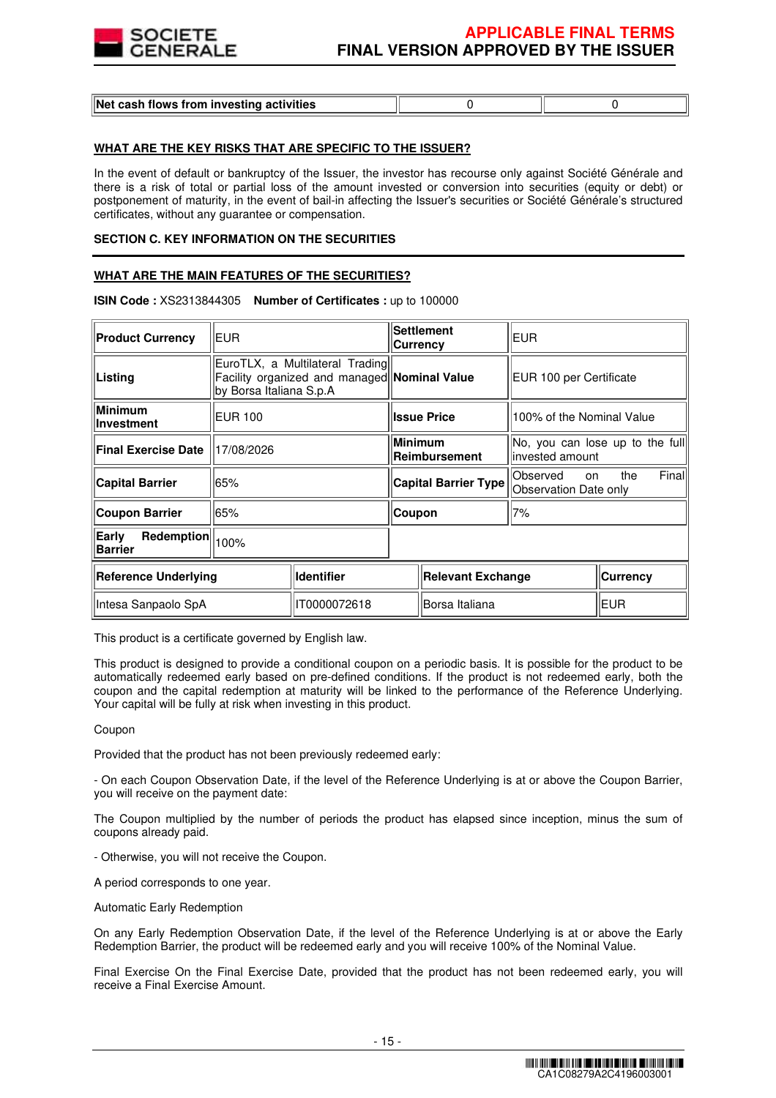

| Net cash flows from investing activities |  |  |
|------------------------------------------|--|--|
|------------------------------------------|--|--|

# **WHAT ARE THE KEY RISKS THAT ARE SPECIFIC TO THE ISSUER?**

In the event of default or bankruptcy of the Issuer, the investor has recourse only against Société Générale and there is a risk of total or partial loss of the amount invested or conversion into securities (equity or debt) or postponement of maturity, in the event of bail-in affecting the Issuer's securities or Société Générale's structured certificates, without any guarantee or compensation.

#### **SECTION C. KEY INFORMATION ON THE SECURITIES**

### **WHAT ARE THE MAIN FEATURES OF THE SECURITIES?**

#### **ISIN Code :** XS2313844305 **Number of Certificates :** up to 100000  $\overline{r}$  $\overline{\phantom{a}}$ ᅲ

| <b>Product Currency</b>                          | <b>EUR</b>                                                                                                 |                             |                                 | <b>Settlement</b><br><b>Currency</b>                     | <b>EUR</b>                                          |                           |  |
|--------------------------------------------------|------------------------------------------------------------------------------------------------------------|-----------------------------|---------------------------------|----------------------------------------------------------|-----------------------------------------------------|---------------------------|--|
| Listing                                          | EuroTLX, a Multilateral Trading<br>Facility organized and managed Nominal Value<br>by Borsa Italiana S.p.A |                             |                                 |                                                          | EUR 100 per Certificate                             |                           |  |
| Minimum<br><b>Investment</b>                     | <b>IEUR 100</b>                                                                                            |                             |                                 | <b>Issue Price</b>                                       |                                                     | 100% of the Nominal Value |  |
| <b>Final Exercise Date</b>                       | 17/08/2026                                                                                                 |                             | <b>Minimum</b><br>Reimbursement |                                                          | No, you can lose up to the full<br>linvested amount |                           |  |
| <b>Capital Barrier</b><br>65%                    |                                                                                                            | <b>Capital Barrier Type</b> |                                 | Finall<br>Observed<br>the<br>on<br>Observation Date only |                                                     |                           |  |
| <b>Coupon Barrier</b>                            | 65%                                                                                                        |                             | Coupon                          |                                                          | 7%                                                  |                           |  |
| Early<br>Redemption<br>100%<br><b>Barrier</b>    |                                                                                                            |                             |                                 |                                                          |                                                     |                           |  |
| <b>Identifier</b><br><b>Reference Underlying</b> |                                                                                                            |                             | <b>Relevant Exchange</b>        |                                                          | Currency                                            |                           |  |
| Intesa Sanpaolo SpA                              |                                                                                                            | IT0000072618                |                                 | Borsa Italiana                                           |                                                     | EUR                       |  |

This product is a certificate governed by English law.

This product is designed to provide a conditional coupon on a periodic basis. It is possible for the product to be automatically redeemed early based on pre-defined conditions. If the product is not redeemed early, both the coupon and the capital redemption at maturity will be linked to the performance of the Reference Underlying. Your capital will be fully at risk when investing in this product.

#### Coupon

Provided that the product has not been previously redeemed early:

- On each Coupon Observation Date, if the level of the Reference Underlying is at or above the Coupon Barrier, you will receive on the payment date:

The Coupon multiplied by the number of periods the product has elapsed since inception, minus the sum of coupons already paid.

- Otherwise, you will not receive the Coupon.

A period corresponds to one year.

Automatic Early Redemption

On any Early Redemption Observation Date, if the level of the Reference Underlying is at or above the Early Redemption Barrier, the product will be redeemed early and you will receive 100% of the Nominal Value.

Final Exercise On the Final Exercise Date, provided that the product has not been redeemed early, you will receive a Final Exercise Amount.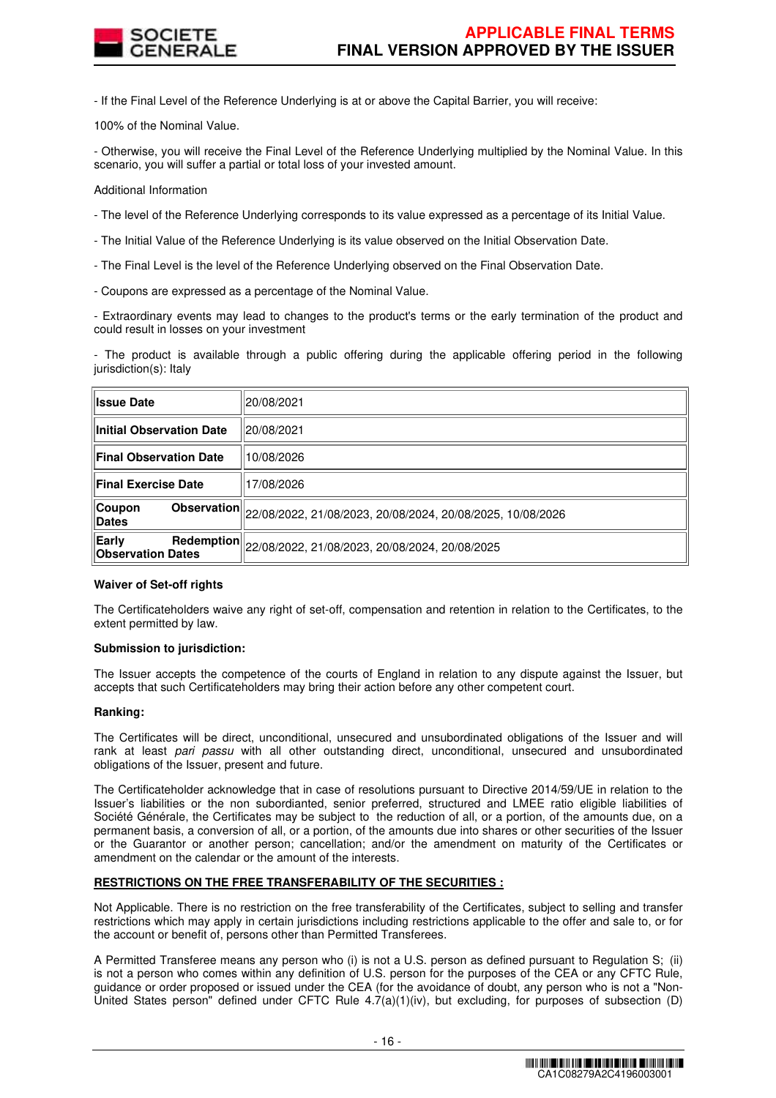

- If the Final Level of the Reference Underlying is at or above the Capital Barrier, you will receive:

100% of the Nominal Value.

- Otherwise, you will receive the Final Level of the Reference Underlying multiplied by the Nominal Value. In this scenario, you will suffer a partial or total loss of your invested amount.

Additional Information

- The level of the Reference Underlying corresponds to its value expressed as a percentage of its Initial Value.
- The Initial Value of the Reference Underlying is its value observed on the Initial Observation Date.
- The Final Level is the level of the Reference Underlying observed on the Final Observation Date.
- Coupons are expressed as a percentage of the Nominal Value.

- Extraordinary events may lead to changes to the product's terms or the early termination of the product and could result in losses on your investment

- The product is available through a public offering during the applicable offering period in the following jurisdiction(s): Italy

| <b>Issue Date</b>                                      | 20/08/2021                                                             |
|--------------------------------------------------------|------------------------------------------------------------------------|
| <b>Initial Observation Date</b>                        | 20/08/2021                                                             |
| <b>Final Observation Date</b>                          | 10/08/2026                                                             |
| <b>Final Exercise Date</b>                             | 17/08/2026                                                             |
| Coupon<br><b>Dates</b>                                 | Observation 22/08/2022, 21/08/2023, 20/08/2024, 20/08/2025, 10/08/2026 |
| Early<br><b>Redemption</b><br><b>Observation Dates</b> | 22/08/2022, 21/08/2023, 20/08/2024, 20/08/2025                         |

# **Waiver of Set-off rights**

The Certificateholders waive any right of set-off, compensation and retention in relation to the Certificates, to the extent permitted by law.

# **Submission to jurisdiction:**

The Issuer accepts the competence of the courts of England in relation to any dispute against the Issuer, but accepts that such Certificateholders may bring their action before any other competent court.

#### **Ranking:**

The Certificates will be direct, unconditional, unsecured and unsubordinated obligations of the Issuer and will rank at least pari passu with all other outstanding direct, unconditional, unsecured and unsubordinated obligations of the Issuer, present and future.

The Certificateholder acknowledge that in case of resolutions pursuant to Directive 2014/59/UE in relation to the Issuer's liabilities or the non subordianted, senior preferred, structured and LMEE ratio eligible liabilities of Société Générale, the Certificates may be subject to the reduction of all, or a portion, of the amounts due, on a permanent basis, a conversion of all, or a portion, of the amounts due into shares or other securities of the Issuer or the Guarantor or another person; cancellation; and/or the amendment on maturity of the Certificates or amendment on the calendar or the amount of the interests.

#### **RESTRICTIONS ON THE FREE TRANSFERABILITY OF THE SECURITIES :**

Not Applicable. There is no restriction on the free transferability of the Certificates, subject to selling and transfer restrictions which may apply in certain jurisdictions including restrictions applicable to the offer and sale to, or for the account or benefit of, persons other than Permitted Transferees.

A Permitted Transferee means any person who (i) is not a U.S. person as defined pursuant to Regulation S; (ii) is not a person who comes within any definition of U.S. person for the purposes of the CEA or any CFTC Rule, guidance or order proposed or issued under the CEA (for the avoidance of doubt, any person who is not a "Non-United States person" defined under CFTC Rule 4.7(a)(1)(iv), but excluding, for purposes of subsection (D)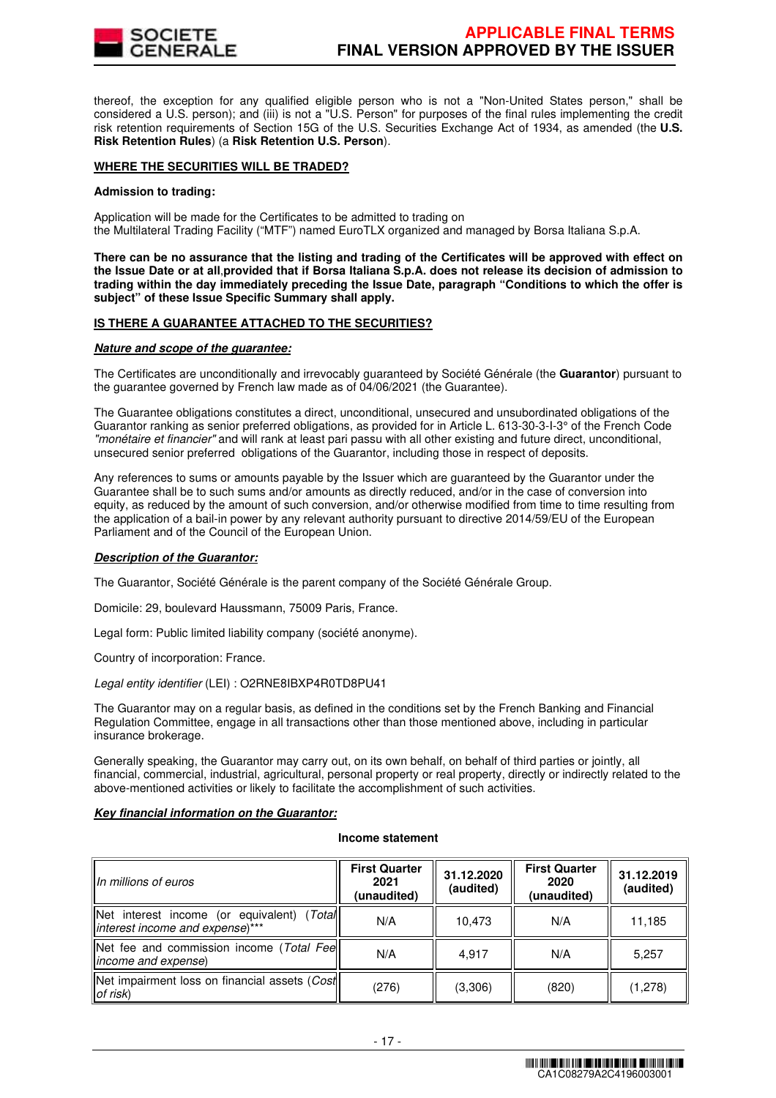

thereof, the exception for any qualified eligible person who is not a "Non-United States person," shall be considered a U.S. person); and (iii) is not a "U.S. Person" for purposes of the final rules implementing the credit risk retention requirements of Section 15G of the U.S. Securities Exchange Act of 1934, as amended (the **U.S. Risk Retention Rules**) (a **Risk Retention U.S. Person**).

### **WHERE THE SECURITIES WILL BE TRADED?**

#### **Admission to trading:**

Application will be made for the Certificates to be admitted to trading on the Multilateral Trading Facility ("MTF") named EuroTLX organized and managed by Borsa Italiana S.p.A.

**There can be no assurance that the listing and trading of the Certificates will be approved with effect on the Issue Date or at all**,**provided that if Borsa Italiana S.p.A. does not release its decision of admission to trading within the day immediately preceding the Issue Date, paragraph "Conditions to which the offer is subject" of these Issue Specific Summary shall apply.**

### **IS THERE A GUARANTEE ATTACHED TO THE SECURITIES?**

#### **Nature and scope of the guarantee:**

The Certificates are unconditionally and irrevocably guaranteed by Société Générale (the **Guarantor**) pursuant to the guarantee governed by French law made as of 04/06/2021 (the Guarantee).

The Guarantee obligations constitutes a direct, unconditional, unsecured and unsubordinated obligations of the Guarantor ranking as senior preferred obligations, as provided for in Article L. 613-30-3-I-3° of the French Code "monétaire et financier" and will rank at least pari passu with all other existing and future direct, unconditional, unsecured senior preferred obligations of the Guarantor, including those in respect of deposits.

Any references to sums or amounts payable by the Issuer which are guaranteed by the Guarantor under the Guarantee shall be to such sums and/or amounts as directly reduced, and/or in the case of conversion into equity, as reduced by the amount of such conversion, and/or otherwise modified from time to time resulting from the application of a bail-in power by any relevant authority pursuant to directive 2014/59/EU of the European Parliament and of the Council of the European Union.

# **Description of the Guarantor:**

The Guarantor, Société Générale is the parent company of the Société Générale Group.

Domicile: 29, boulevard Haussmann, 75009 Paris, France.

Legal form: Public limited liability company (société anonyme).

Country of incorporation: France.

Legal entity identifier (LEI) : O2RNE8IBXP4R0TD8PU41

The Guarantor may on a regular basis, as defined in the conditions set by the French Banking and Financial Regulation Committee, engage in all transactions other than those mentioned above, including in particular insurance brokerage.

Generally speaking, the Guarantor may carry out, on its own behalf, on behalf of third parties or jointly, all financial, commercial, industrial, agricultural, personal property or real property, directly or indirectly related to the above-mentioned activities or likely to facilitate the accomplishment of such activities.

# **Key financial information on the Guarantor:**

#### **Income statement**

| IIn millions of euros                                                            | <b>First Quarter</b><br>2021<br>(unaudited) | 31.12.2020<br>(audited) | <b>First Quarter</b><br>2020<br>(unaudited) | 31.12.2019<br>(audited) |
|----------------------------------------------------------------------------------|---------------------------------------------|-------------------------|---------------------------------------------|-------------------------|
| (Total<br>Net interest income (or equivalent)<br>Interest income and expense)*** | N/A                                         | 10,473                  | N/A                                         | 11,185                  |
| Net fee and commission income (Total Fee<br>lincome and expense)                 | N/A                                         | 4.917                   | N/A                                         | 5,257                   |
| Net impairment loss on financial assets (Cost<br>$\mathsf{I}$ of risk)           | (276)                                       | (3,306)                 | (820)                                       | (1,278)                 |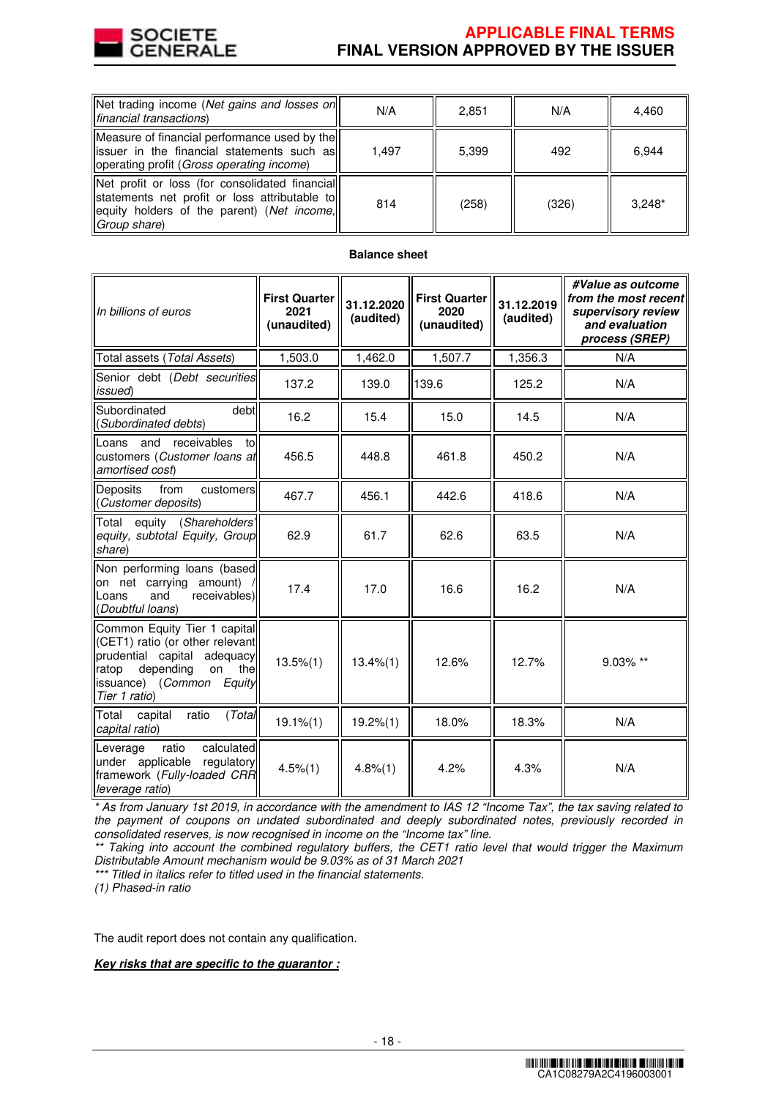

# **APPLICABLE FINAL TERMS FINAL VERSION APPROVED BY THE ISSUER**

| Net trading income (Net gains and losses on<br>financial transactions                                                                                           | N/A   | 2,851 | N/A   | 4,460    |
|-----------------------------------------------------------------------------------------------------------------------------------------------------------------|-------|-------|-------|----------|
| Measure of financial performance used by the<br>lissuer in the financial statements such as<br>operating profit (Gross operating income)                        | 1.497 | 5.399 | 492   | 6.944    |
| Net profit or loss (for consolidated financial<br>statements net profit or loss attributable toll<br>equity holders of the parent) (Net income,<br>Group share) | 814   | (258) | (326) | $3.248*$ |

# **Balance sheet**

| In billions of euros                                                                                                                                                              | <b>First Quarter</b><br>2021<br>(unaudited) | 31.12.2020<br>(audited) | <b>First Quarter</b><br>2020<br>(unaudited) | 31.12.2019<br>(audited) | #Value as outcome<br>from the most recent<br>supervisory review<br>and evaluation<br>process (SREP) |
|-----------------------------------------------------------------------------------------------------------------------------------------------------------------------------------|---------------------------------------------|-------------------------|---------------------------------------------|-------------------------|-----------------------------------------------------------------------------------------------------|
| Total assets (Total Assets)                                                                                                                                                       | 1,503.0                                     | 1,462.0                 | 1,507.7                                     | 1,356.3                 | N/A                                                                                                 |
| Senior debt (Debt securities<br>issued)                                                                                                                                           | 137.2                                       | 139.0                   | 139.6                                       | 125.2                   | N/A                                                                                                 |
| debt<br>Subordinated<br>(Subordinated debts)                                                                                                                                      | 16.2                                        | 15.4                    | 15.0                                        | 14.5                    | N/A                                                                                                 |
| and<br>receivables<br>to<br>Loans<br>customers (Customer loans at<br>amortised cost)                                                                                              | 456.5                                       | 448.8                   | 461.8                                       | 450.2                   | N/A                                                                                                 |
| from<br>Deposits<br>customers<br>(Customer deposits)                                                                                                                              | 467.7                                       | 456.1                   | 442.6                                       | 418.6                   | N/A                                                                                                 |
| equity (Shareholders'<br>Total<br>equity, subtotal Equity, Group<br>share)                                                                                                        | 62.9                                        | 61.7                    | 62.6                                        | 63.5                    | N/A                                                                                                 |
| Non performing loans (based<br>on net carrying amount)<br>receivables)<br>and<br>Loans<br>(Doubtful loans)                                                                        | 17.4                                        | 17.0                    | 16.6                                        | 16.2                    | N/A                                                                                                 |
| Common Equity Tier 1 capital<br>(CET1) ratio (or other relevant<br>prudential capital adequacy<br>depending<br>on<br>ratop<br>the<br>issuance) (Common<br>Equity<br>Tier 1 ratio) | $13.5\%(1)$                                 | $13.4\%(1)$             | 12.6%                                       | 12.7%                   | 9.03% **                                                                                            |
| Total<br>(Total<br>capital<br>ratio<br>capital ratio)                                                                                                                             | $19.1\% (1)$                                | 19.2%(1)                | 18.0%                                       | 18.3%                   | N/A                                                                                                 |
| calculated<br>ratio<br>Leverage<br>under applicable<br>regulatory<br>framework (Fully-loaded CRR<br>leverage ratio)                                                               | $4.5\%(1)$                                  | 4.8%(1)                 | 4.2%                                        | 4.3%                    | N/A                                                                                                 |

\* As from January 1st 2019, in accordance with the amendment to IAS 12 "Income Tax", the tax saving related to the payment of coupons on undated subordinated and deeply subordinated notes, previously recorded in consolidated reserves, is now recognised in income on the "Income tax" line.

\*\* Taking into account the combined regulatory buffers, the CET1 ratio level that would trigger the Maximum Distributable Amount mechanism would be 9.03% as of 31 March 2021

\*\*\* Titled in italics refer to titled used in the financial statements.

(1) Phased-in ratio

The audit report does not contain any qualification.

# **Key risks that are specific to the guarantor :**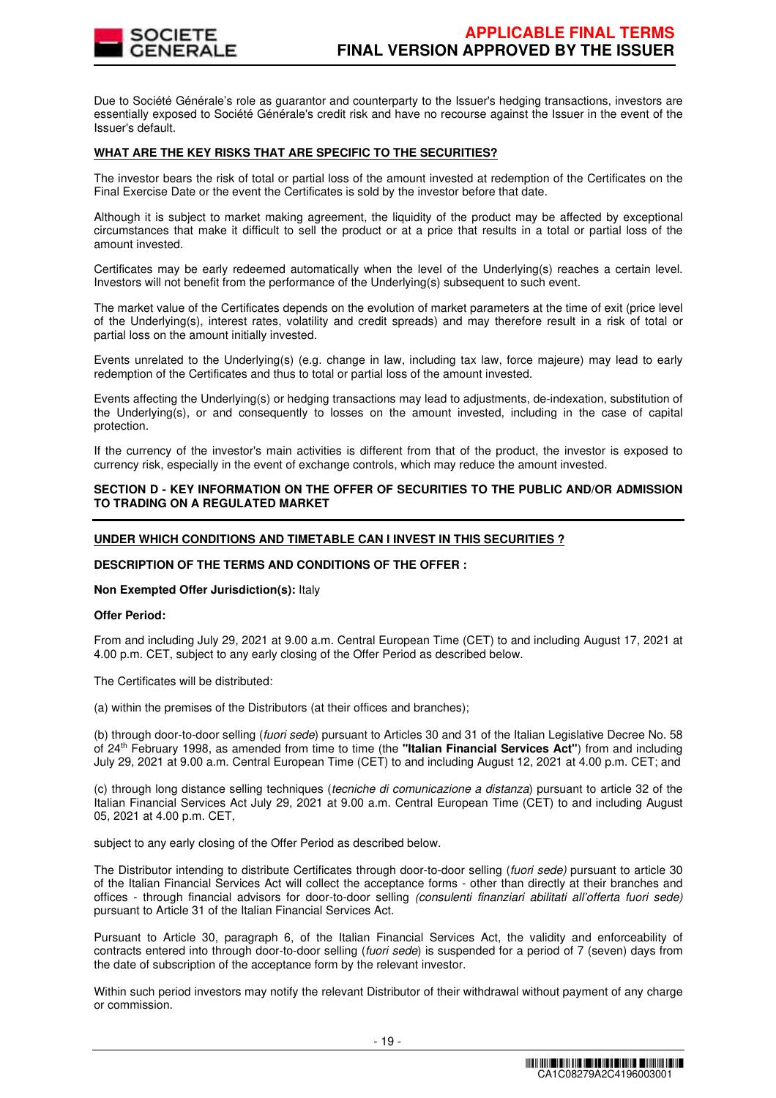

Due to Société Générale's role as guarantor and counterparty to the Issuer's hedging transactions, investors are essentially exposed to Société Générale's credit risk and have no recourse against the Issuer in the event of the Issuer's default.

#### **WHAT ARE THE KEY RISKS THAT ARE SPECIFIC TO THE SECURITIES?**

The investor bears the risk of total or partial loss of the amount invested at redemption of the Certificates on the Final Exercise Date or the event the Certificates is sold by the investor before that date.

Although it is subject to market making agreement, the liquidity of the product may be affected by exceptional circumstances that make it difficult to sell the product or at a price that results in a total or partial loss of the amount invested.

Certificates may be early redeemed automatically when the level of the Underlying(s) reaches a certain level. Investors will not benefit from the performance of the Underlying(s) subsequent to such event.

The market value of the Certificates depends on the evolution of market parameters at the time of exit (price level of the Underlying(s), interest rates, volatility and credit spreads) and may therefore result in a risk of total or partial loss on the amount initially invested.

Events unrelated to the Underlying(s) (e.g. change in law, including tax law, force majeure) may lead to early redemption of the Certificates and thus to total or partial loss of the amount invested.

Events affecting the Underlying(s) or hedging transactions may lead to adjustments, de-indexation, substitution of the Underlying(s), or and consequently to losses on the amount invested, including in the case of capital protection.

If the currency of the investor's main activities is different from that of the product, the investor is exposed to currency risk, especially in the event of exchange controls, which may reduce the amount invested.

### **SECTION D - KEY INFORMATION ON THE OFFER OF SECURITIES TO THE PUBLIC AND/OR ADMISSION TO TRADING ON A REGULATED MARKET**

### **UNDER WHICH CONDITIONS AND TIMETABLE CAN I INVEST IN THIS SECURITIES ?**

#### **DESCRIPTION OF THE TERMS AND CONDITIONS OF THE OFFER :**

# **Non Exempted Offer Jurisdiction(s):** Italy

#### **Offer Period:**

From and including July 29, 2021 at 9.00 a.m. Central European Time (CET) to and including August 17, 2021 at 4.00 p.m. CET, subject to any early closing of the Offer Period as described below.

The Certificates will be distributed:

(a) within the premises of the Distributors (at their offices and branches);

(b) through door-to-door selling (fuori sede) pursuant to Articles 30 and 31 of the Italian Legislative Decree No. 58 of 24th February 1998, as amended from time to time (the **"Italian Financial Services Act"**) from and including July 29, 2021 at 9.00 a.m. Central European Time (CET) to and including August 12, 2021 at 4.00 p.m. CET; and

(c) through long distance selling techniques (tecniche di comunicazione a distanza) pursuant to article 32 of the Italian Financial Services Act July 29, 2021 at 9.00 a.m. Central European Time (CET) to and including August 05, 2021 at 4.00 p.m. CET,

subject to any early closing of the Offer Period as described below.

The Distributor intending to distribute Certificates through door-to-door selling (fuori sede) pursuant to article 30 of the Italian Financial Services Act will collect the acceptance forms - other than directly at their branches and offices - through financial advisors for door-to-door selling (consulenti finanziari abilitati all'offerta fuori sede) pursuant to Article 31 of the Italian Financial Services Act.

Pursuant to Article 30, paragraph 6, of the Italian Financial Services Act, the validity and enforceability of contracts entered into through door-to-door selling (fuori sede) is suspended for a period of 7 (seven) days from the date of subscription of the acceptance form by the relevant investor.

Within such period investors may notify the relevant Distributor of their withdrawal without payment of any charge or commission.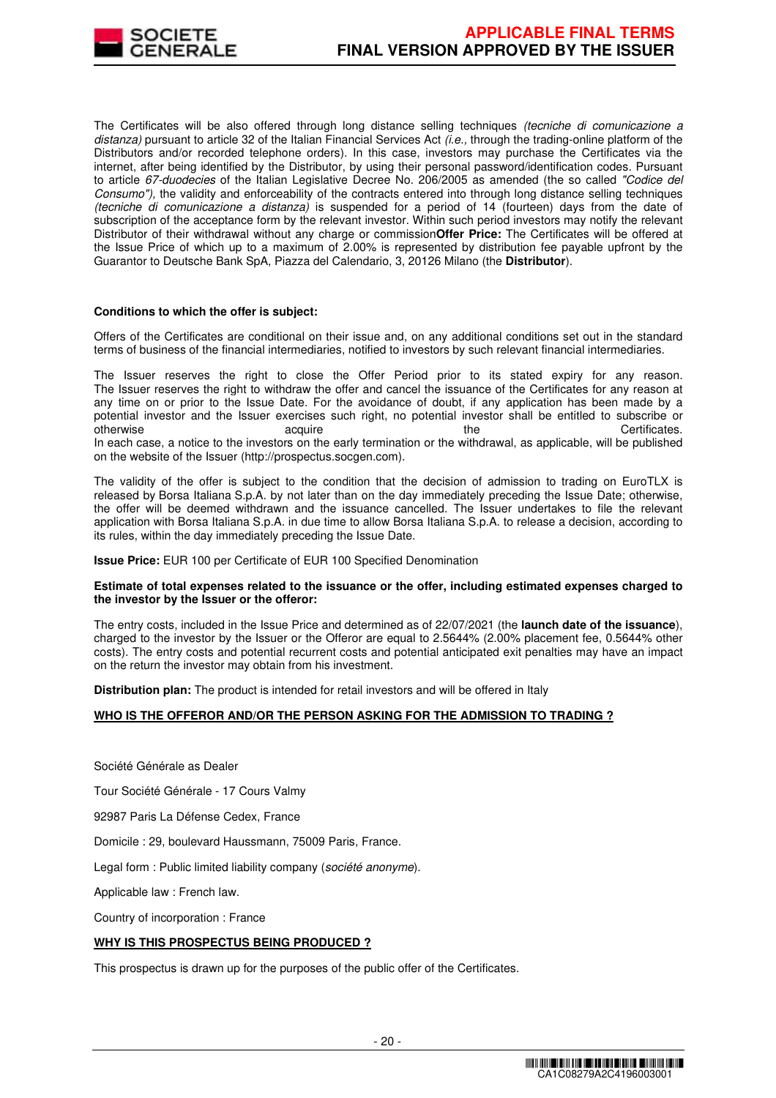

The Certificates will be also offered through long distance selling techniques (tecniche di comunicazione a distanza) pursuant to article 32 of the Italian Financial Services Act  $\ddot{\mu}e$ , through the trading-online platform of the Distributors and/or recorded telephone orders). In this case, investors may purchase the Certificates via the internet, after being identified by the Distributor, by using their personal password/identification codes. Pursuant to article 67-duodecies of the Italian Legislative Decree No. 206/2005 as amended (the so called "Codice del Consumo"), the validity and enforceability of the contracts entered into through long distance selling techniques (tecniche di comunicazione a distanza) is suspended for a period of 14 (fourteen) days from the date of subscription of the acceptance form by the relevant investor. Within such period investors may notify the relevant Distributor of their withdrawal without any charge or commission**Offer Price:** The Certificates will be offered at the Issue Price of which up to a maximum of 2.00% is represented by distribution fee payable upfront by the Guarantor to Deutsche Bank SpA, Piazza del Calendario, 3, 20126 Milano (the **Distributor**).

#### **Conditions to which the offer is subject:**

Offers of the Certificates are conditional on their issue and, on any additional conditions set out in the standard terms of business of the financial intermediaries, notified to investors by such relevant financial intermediaries.

The Issuer reserves the right to close the Offer Period prior to its stated expiry for any reason. The Issuer reserves the right to withdraw the offer and cancel the issuance of the Certificates for any reason at any time on or prior to the Issue Date. For the avoidance of doubt, if any application has been made by a potential investor and the Issuer exercises such right, no potential investor shall be entitled to subscribe or otherwise acquire acquire the the Certificates. In each case, a notice to the investors on the early termination or the withdrawal, as applicable, will be published on the website of the Issuer (http://prospectus.socgen.com).

The validity of the offer is subject to the condition that the decision of admission to trading on EuroTLX is released by Borsa Italiana S.p.A. by not later than on the day immediately preceding the Issue Date; otherwise, the offer will be deemed withdrawn and the issuance cancelled. The Issuer undertakes to file the relevant application with Borsa Italiana S.p.A. in due time to allow Borsa Italiana S.p.A. to release a decision, according to its rules, within the day immediately preceding the Issue Date.

**Issue Price:** EUR 100 per Certificate of EUR 100 Specified Denomination

#### **Estimate of total expenses related to the issuance or the offer, including estimated expenses charged to the investor by the Issuer or the offeror:**

The entry costs, included in the Issue Price and determined as of 22/07/2021 (the **launch date of the issuance**), charged to the investor by the Issuer or the Offeror are equal to 2.5644% (2.00% placement fee, 0.5644% other costs). The entry costs and potential recurrent costs and potential anticipated exit penalties may have an impact on the return the investor may obtain from his investment.

**Distribution plan:** The product is intended for retail investors and will be offered in Italy

# **WHO IS THE OFFEROR AND/OR THE PERSON ASKING FOR THE ADMISSION TO TRADING ?**

Société Générale as Dealer

Tour Société Générale - 17 Cours Valmy

92987 Paris La Défense Cedex, France

Domicile : 29, boulevard Haussmann, 75009 Paris, France.

Legal form : Public limited liability company (société anonyme).

Applicable law : French law.

Country of incorporation : France

# **WHY IS THIS PROSPECTUS BEING PRODUCED ?**

This prospectus is drawn up for the purposes of the public offer of the Certificates.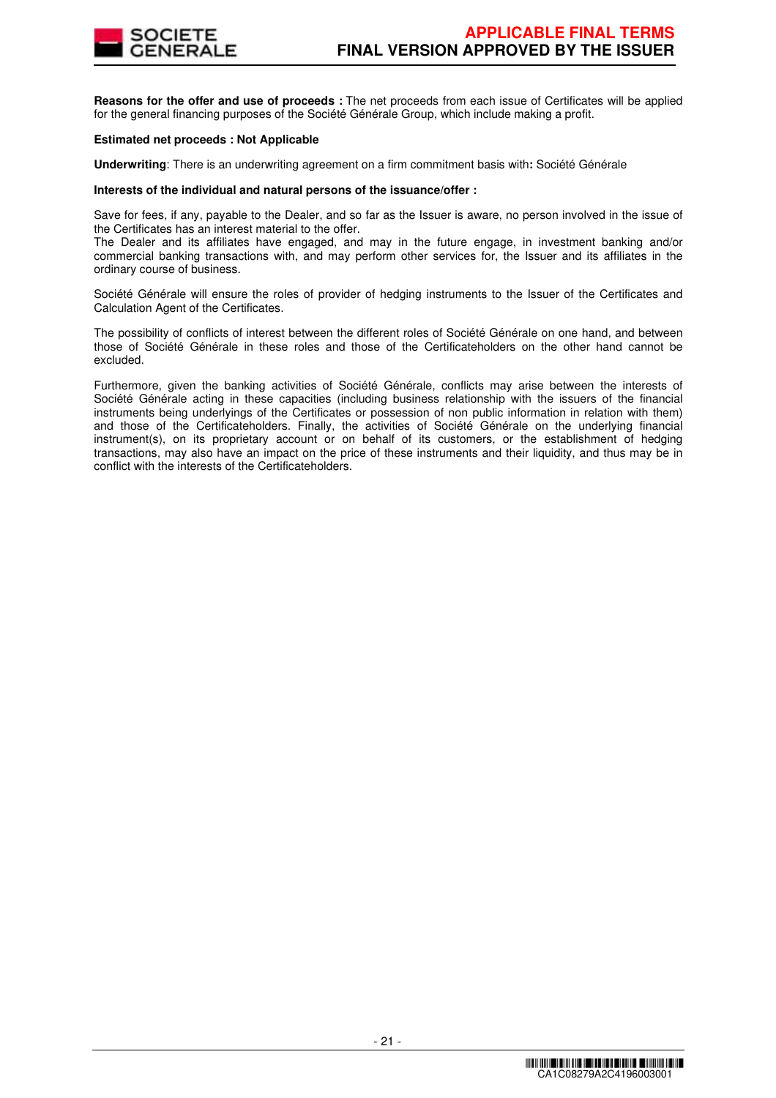

**Reasons for the offer and use of proceeds :** The net proceeds from each issue of Certificates will be applied for the general financing purposes of the Société Générale Group, which include making a profit.

#### **Estimated net proceeds : Not Applicable**

**Underwriting**: There is an underwriting agreement on a firm commitment basis with**:** Société Générale

#### **Interests of the individual and natural persons of the issuance/offer :**

Save for fees, if any, payable to the Dealer, and so far as the Issuer is aware, no person involved in the issue of the Certificates has an interest material to the offer.

The Dealer and its affiliates have engaged, and may in the future engage, in investment banking and/or commercial banking transactions with, and may perform other services for, the Issuer and its affiliates in the ordinary course of business.

Société Générale will ensure the roles of provider of hedging instruments to the Issuer of the Certificates and Calculation Agent of the Certificates.

The possibility of conflicts of interest between the different roles of Société Générale on one hand, and between those of Société Générale in these roles and those of the Certificateholders on the other hand cannot be excluded.

Furthermore, given the banking activities of Société Générale, conflicts may arise between the interests of Société Générale acting in these capacities (including business relationship with the issuers of the financial instruments being underlyings of the Certificates or possession of non public information in relation with them) and those of the Certificateholders. Finally, the activities of Société Générale on the underlying financial instrument(s), on its proprietary account or on behalf of its customers, or the establishment of hedging transactions, may also have an impact on the price of these instruments and their liquidity, and thus may be in conflict with the interests of the Certificateholders.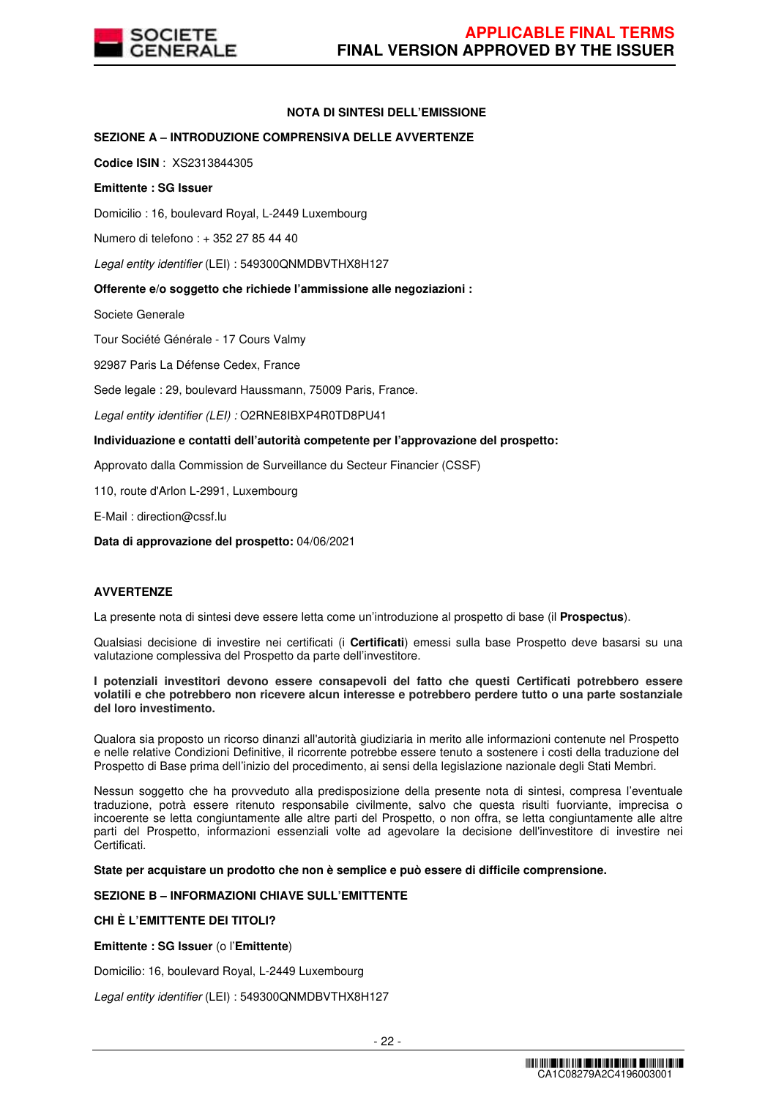

# **NOTA DI SINTESI DELL'EMISSIONE**

# **SEZIONE A – INTRODUZIONE COMPRENSIVA DELLE AVVERTENZE**

**Codice ISIN** : XS2313844305

### **Emittente : SG Issuer**

Domicilio : 16, boulevard Royal, L-2449 Luxembourg

Numero di telefono : + 352 27 85 44 40

Legal entity identifier (LEI) : 549300QNMDBVTHX8H127

### **Offerente e/o soggetto che richiede l'ammissione alle negoziazioni :**

Societe Generale

Tour Société Générale - 17 Cours Valmy

92987 Paris La Défense Cedex, France

Sede legale : 29, boulevard Haussmann, 75009 Paris, France.

Legal entity identifier (LEI) : O2RNE8IBXP4R0TD8PU41

### **Individuazione e contatti dell'autorità competente per l'approvazione del prospetto:**

Approvato dalla Commission de Surveillance du Secteur Financier (CSSF)

110, route d'Arlon L-2991, Luxembourg

E-Mail : direction@cssf.lu

**Data di approvazione del prospetto:** 04/06/2021

#### **AVVERTENZE**

La presente nota di sintesi deve essere letta come un'introduzione al prospetto di base (il **Prospectus**).

Qualsiasi decisione di investire nei certificati (i **Certificati**) emessi sulla base Prospetto deve basarsi su una valutazione complessiva del Prospetto da parte dell'investitore.

**I potenziali investitori devono essere consapevoli del fatto che questi Certificati potrebbero essere volatili e che potrebbero non ricevere alcun interesse e potrebbero perdere tutto o una parte sostanziale del loro investimento.** 

Qualora sia proposto un ricorso dinanzi all'autorità giudiziaria in merito alle informazioni contenute nel Prospetto e nelle relative Condizioni Definitive, il ricorrente potrebbe essere tenuto a sostenere i costi della traduzione del Prospetto di Base prima dell'inizio del procedimento, ai sensi della legislazione nazionale degli Stati Membri.

Nessun soggetto che ha provveduto alla predisposizione della presente nota di sintesi, compresa l'eventuale traduzione, potrà essere ritenuto responsabile civilmente, salvo che questa risulti fuorviante, imprecisa o incoerente se letta congiuntamente alle altre parti del Prospetto, o non offra, se letta congiuntamente alle altre parti del Prospetto, informazioni essenziali volte ad agevolare la decisione dell'investitore di investire nei Certificati.

**State per acquistare un prodotto che non è semplice e può essere di difficile comprensione.**

# **SEZIONE B – INFORMAZIONI CHIAVE SULL'EMITTENTE**

# **CHI È L'EMITTENTE DEI TITOLI?**

**Emittente : SG Issuer** (o l'**Emittente**)

Domicilio: 16, boulevard Royal, L-2449 Luxembourg

Legal entity identifier (LEI) : 549300QNMDBVTHX8H127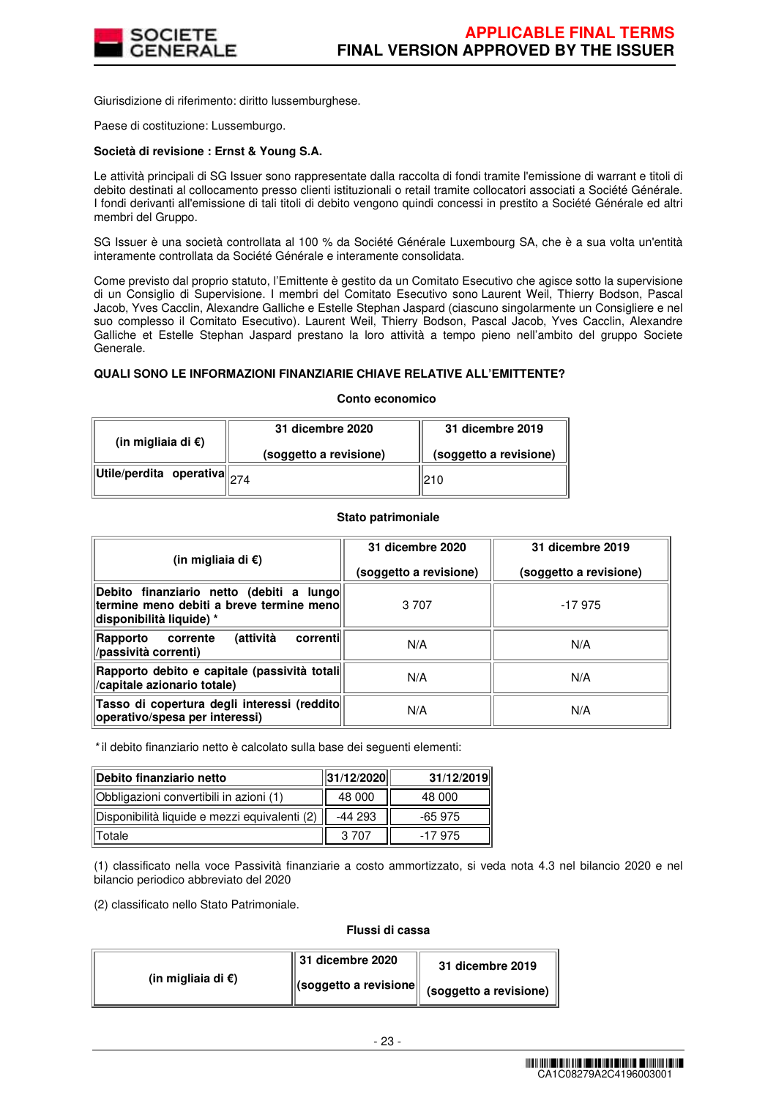

Giurisdizione di riferimento: diritto lussemburghese.

Paese di costituzione: Lussemburgo.

#### **Società di revisione : Ernst & Young S.A.**

Le attività principali di SG Issuer sono rappresentate dalla raccolta di fondi tramite l'emissione di warrant e titoli di debito destinati al collocamento presso clienti istituzionali o retail tramite collocatori associati a Société Générale. I fondi derivanti all'emissione di tali titoli di debito vengono quindi concessi in prestito a Société Générale ed altri membri del Gruppo.

SG Issuer è una società controllata al 100 % da Société Générale Luxembourg SA, che è a sua volta un'entità interamente controllata da Société Générale e interamente consolidata.

Come previsto dal proprio statuto, l'Emittente è gestito da un Comitato Esecutivo che agisce sotto la supervisione di un Consiglio di Supervisione. I membri del Comitato Esecutivo sono Laurent Weil, Thierry Bodson, Pascal Jacob, Yves Cacclin, Alexandre Galliche e Estelle Stephan Jaspard (ciascuno singolarmente un Consigliere e nel suo complesso il Comitato Esecutivo). Laurent Weil, Thierry Bodson, Pascal Jacob, Yves Cacclin, Alexandre Galliche et Estelle Stephan Jaspard prestano la loro attività a tempo pieno nell'ambito del gruppo Societe Generale.

#### **QUALI SONO LE INFORMAZIONI FINANZIARIE CHIAVE RELATIVE ALL'EMITTENTE?**

#### **Conto economico**

| (in migliaia di $\epsilon$ )                                                                      | 31 dicembre 2020       | 31 dicembre 2019       |  |
|---------------------------------------------------------------------------------------------------|------------------------|------------------------|--|
|                                                                                                   | (soggetto a revisione) | (soggetto a revisione) |  |
| $\left\Vert \mathsf{Utile}/\mathsf{perdita} \right\Vert$ operativa $\left\Vert _{274}\right\Vert$ |                        | 210                    |  |

#### **Stato patrimoniale**

| (in migliaia di €)                                                                                               | 31 dicembre 2020<br>(soggetto a revisione) | 31 dicembre 2019<br>(soggetto a revisione) |  |
|------------------------------------------------------------------------------------------------------------------|--------------------------------------------|--------------------------------------------|--|
| Debito finanziario netto (debiti a lungo<br>termine meno debiti a breve termine meno<br>disponibilità liquide) * | 3 7 0 7                                    | $-17975$                                   |  |
| (attività<br>correntil<br>Rapporto<br>corrente<br>/passività correnti)                                           | N/A                                        | N/A                                        |  |
| Rapporto debito e capitale (passività totali <br>/capitale azionario totale)                                     | N/A                                        | N/A                                        |  |
| Tasso di copertura degli interessi (reddito<br>operativo/spesa per interessi)                                    | N/A                                        | N/A                                        |  |

\* il debito finanziario netto è calcolato sulla base dei seguenti elementi:

| Debito finanziario netto                      | 31/12/2020 | 31/12/2019 |
|-----------------------------------------------|------------|------------|
| Obbligazioni convertibili in azioni (1)       | 48 000     | 48 000     |
| Disponibilità liquide e mezzi equivalenti (2) | -44 293    | $-65975$   |
| Totale                                        | 3.707      | -17 975    |

(1) classificato nella voce Passività finanziarie a costo ammortizzato, si veda nota 4.3 nel bilancio 2020 e nel bilancio periodico abbreviato del 2020

(2) classificato nello Stato Patrimoniale.

#### **Flussi di cassa**

|                              | $\parallel$ 31 dicembre 2020 | 31 dicembre 2019                                                                  |
|------------------------------|------------------------------|-----------------------------------------------------------------------------------|
| (in migliaia di $\epsilon$ ) |                              | $\left\  \text{(soggetto a revisione} \right\  \text{ (soggetto a revisione) }$ " |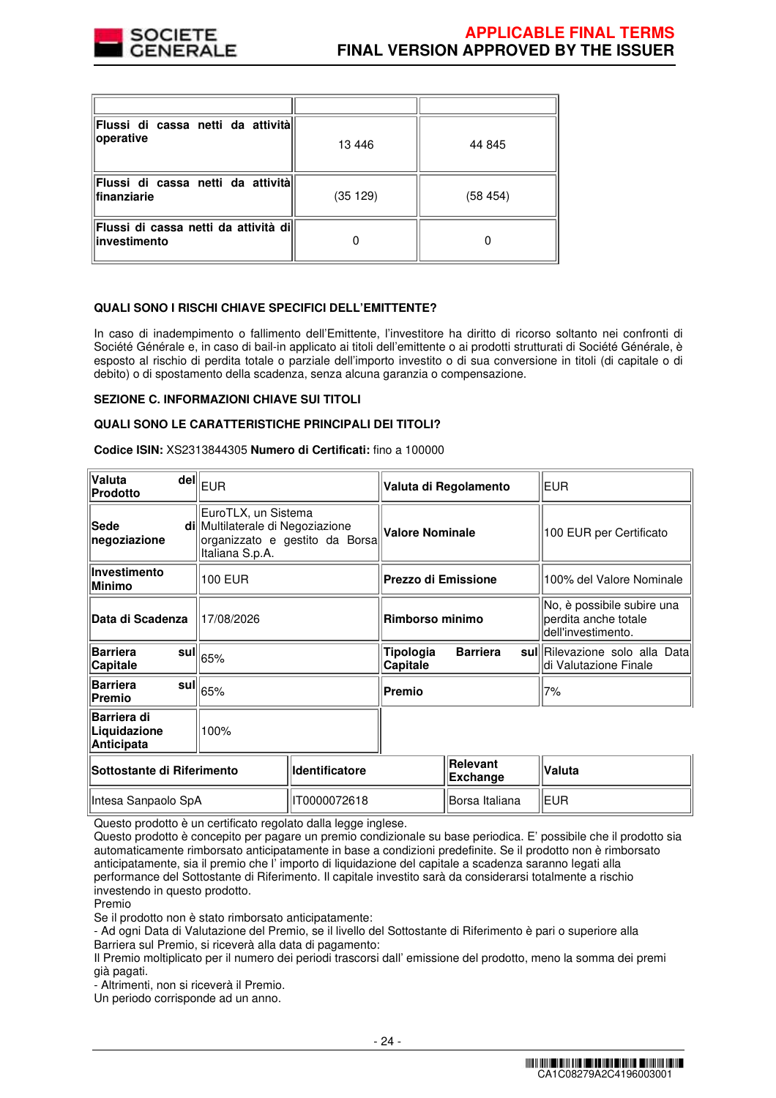

| Flussi di cassa netti da attività<br>operative       | 13 4 46  | 44 845  |
|------------------------------------------------------|----------|---------|
| Flussi di cassa netti da attività<br>finanziarie     | (35 129) | (58454) |
| Flussi di cassa netti da attività di<br>investimento |          |         |

# **QUALI SONO I RISCHI CHIAVE SPECIFICI DELL'EMITTENTE?**

In caso di inadempimento o fallimento dell'Emittente, l'investitore ha diritto di ricorso soltanto nei confronti di Société Générale e, in caso di bail-in applicato ai titoli dell'emittente o ai prodotti strutturati di Société Générale, è esposto al rischio di perdita totale o parziale dell'importo investito o di sua conversione in titoli (di capitale o di debito) o di spostamento della scadenza, senza alcuna garanzia o compensazione.

#### **SEZIONE C. INFORMAZIONI CHIAVE SUI TITOLI**

#### **QUALI SONO LE CARATTERISTICHE PRINCIPALI DEI TITOLI?**

**Codice ISIN:** XS2313844305 **Numero di Certificati:** fino a 100000

| Valuta<br>Prodotto                               | $\mathsf{del}\Vert_{\mathsf{EUR}}$                                         |                                | Valuta di Regolamento                            |            | <b>EUR</b>                                                               |  |
|--------------------------------------------------|----------------------------------------------------------------------------|--------------------------------|--------------------------------------------------|------------|--------------------------------------------------------------------------|--|
| Sede<br>negoziazione                             | EuroTLX, un Sistema<br>di Multilaterale di Negoziazione<br>Italiana S.p.A. | organizzato e gestito da Borsa | <b>Valore Nominale</b>                           |            | 100 EUR per Certificato                                                  |  |
| Investimento<br><b>Minimo</b>                    | 100 EUR                                                                    |                                | Prezzo di Emissione                              |            | 100% del Valore Nominale                                                 |  |
| Data di Scadenza                                 | 17/08/2026                                                                 |                                | Rimborso minimo                                  |            | No, è possibile subire una<br>perdita anche totale<br>dell'investimento. |  |
| <b>Barriera</b><br>Capitale                      | sul $\left\Vert_{65\%}\right.$                                             |                                | Tipologia<br><b>Barriera</b><br>sull<br>Capitale |            | Rilevazione solo alla Data<br>di Valutazione Finale                      |  |
| <b>Barriera</b><br>Premio                        | sul $\parallel_{65\%}$                                                     |                                | Premio                                           |            | 7%                                                                       |  |
| Barriera di<br>Liquidazione<br><b>Anticipata</b> | 100%                                                                       |                                |                                                  |            |                                                                          |  |
| Sottostante di Riferimento                       |                                                                            | <b>Identificatore</b>          | <b>Relevant</b><br><b>Exchange</b>               |            | Valuta                                                                   |  |
| IT0000072618<br>Intesa Sanpaolo SpA              |                                                                            |                                | Borsa Italiana                                   | <b>EUR</b> |                                                                          |  |

Questo prodotto è un certificato regolato dalla legge inglese.

Questo prodotto è concepito per pagare un premio condizionale su base periodica. E' possibile che il prodotto sia automaticamente rimborsato anticipatamente in base a condizioni predefinite. Se il prodotto non è rimborsato anticipatamente, sia il premio che l' importo di liquidazione del capitale a scadenza saranno legati alla performance del Sottostante di Riferimento. Il capitale investito sarà da considerarsi totalmente a rischio investendo in questo prodotto.

Premio

Se il prodotto non è stato rimborsato anticipatamente:

- Ad ogni Data di Valutazione del Premio, se il livello del Sottostante di Riferimento è pari o superiore alla Barriera sul Premio, si riceverà alla data di pagamento:

Il Premio moltiplicato per il numero dei periodi trascorsi dall' emissione del prodotto, meno la somma dei premi già pagati.

- Altrimenti, non si riceverà il Premio.

Un periodo corrisponde ad un anno.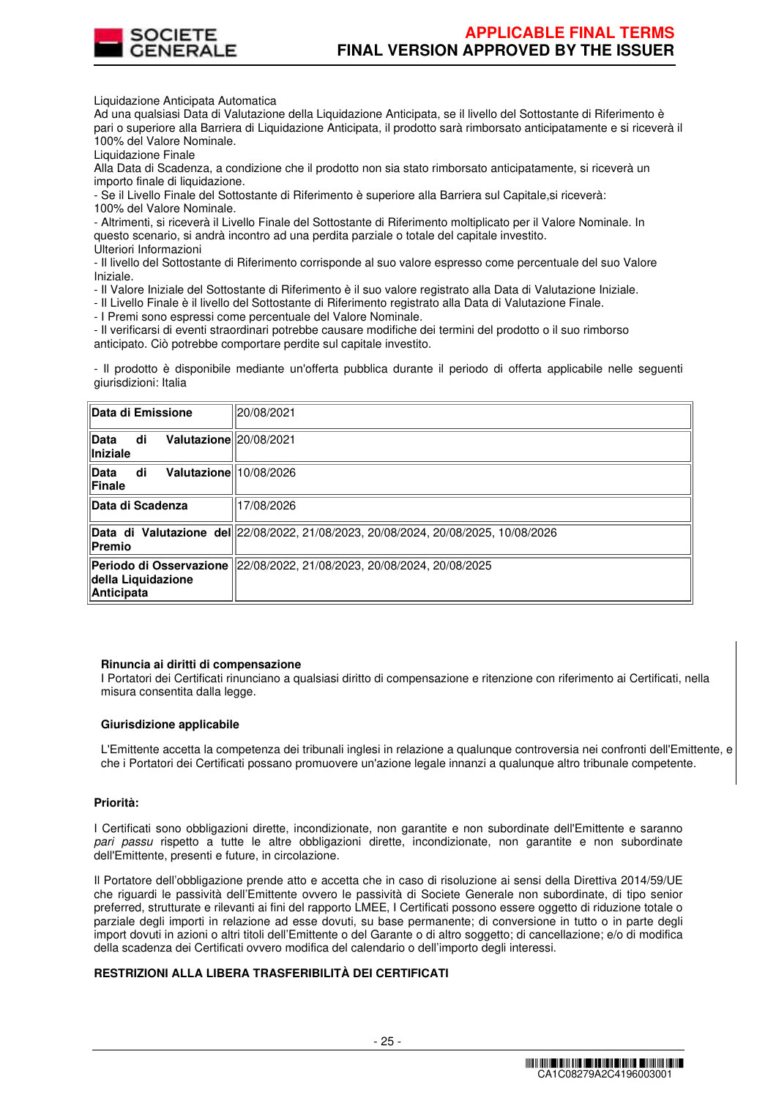

Liquidazione Anticipata Automatica

Ad una qualsiasi Data di Valutazione della Liquidazione Anticipata, se il livello del Sottostante di Riferimento è pari o superiore alla Barriera di Liquidazione Anticipata, il prodotto sarà rimborsato anticipatamente e si riceverà il 100% del Valore Nominale.

Liquidazione Finale

Alla Data di Scadenza, a condizione che il prodotto non sia stato rimborsato anticipatamente, si riceverà un importo finale di liquidazione.

- Se il Livello Finale del Sottostante di Riferimento è superiore alla Barriera sul Capitale,si riceverà: 100% del Valore Nominale.

- Altrimenti, si riceverà il Livello Finale del Sottostante di Riferimento moltiplicato per il Valore Nominale. In questo scenario, si andrà incontro ad una perdita parziale o totale del capitale investito. Ulteriori Informazioni

- Il livello del Sottostante di Riferimento corrisponde al suo valore espresso come percentuale del suo Valore Iniziale.

- Il Valore Iniziale del Sottostante di Riferimento è il suo valore registrato alla Data di Valutazione Iniziale.

- Il Livello Finale è il livello del Sottostante di Riferimento registrato alla Data di Valutazione Finale.

- I Premi sono espressi come percentuale del Valore Nominale.

- Il verificarsi di eventi straordinari potrebbe causare modifiche dei termini del prodotto o il suo rimborso anticipato. Ciò potrebbe comportare perdite sul capitale investito.

- Il prodotto è disponibile mediante un'offerta pubblica durante il periodo di offerta applicabile nelle seguenti giurisdizioni: Italia

| Data di Emissione                                | 20/08/2021                                                                         |
|--------------------------------------------------|------------------------------------------------------------------------------------|
| Valutazione 20/08/2021<br>di<br>Data<br>Iniziale |                                                                                    |
| di<br>Valutazione 10/08/2026<br>∣Data<br>Finale  |                                                                                    |
| <b>Data di Scadenza</b>                          | 17/08/2026                                                                         |
| Premio                                           | Data di Valutazione del 22/08/2022, 21/08/2023, 20/08/2024, 20/08/2025, 10/08/2026 |
| della Liquidazione<br>Anticipata                 | Periodo di Osservazione  22/08/2022, 21/08/2023, 20/08/2024, 20/08/2025            |

#### **Rinuncia ai diritti di compensazione**

I Portatori dei Certificati rinunciano a qualsiasi diritto di compensazione e ritenzione con riferimento ai Certificati, nella misura consentita dalla legge.

#### **Giurisdizione applicabile**

L'Emittente accetta la competenza dei tribunali inglesi in relazione a qualunque controversia nei confronti dell'Emittente, e che i Portatori dei Certificati possano promuovere un'azione legale innanzi a qualunque altro tribunale competente.

#### **Priorità:**

I Certificati sono obbligazioni dirette, incondizionate, non garantite e non subordinate dell'Emittente e saranno pari passu rispetto a tutte le altre obbligazioni dirette, incondizionate, non garantite e non subordinate dell'Emittente, presenti e future, in circolazione.

Il Portatore dell'obbligazione prende atto e accetta che in caso di risoluzione ai sensi della Direttiva 2014/59/UE che riguardi le passività dell'Emittente ovvero le passività di Societe Generale non subordinate, di tipo senior preferred, strutturate e rilevanti ai fini del rapporto LMEE, I Certificati possono essere oggetto di riduzione totale o parziale degli importi in relazione ad esse dovuti, su base permanente; di conversione in tutto o in parte degli import dovuti in azioni o altri titoli dell'Emittente o del Garante o di altro soggetto; di cancellazione; e/o di modifica della scadenza dei Certificati ovvero modifica del calendario o dell'importo degli interessi.

# **RESTRIZIONI ALLA LIBERA TRASFERIBILITÀ DEI CERTIFICATI**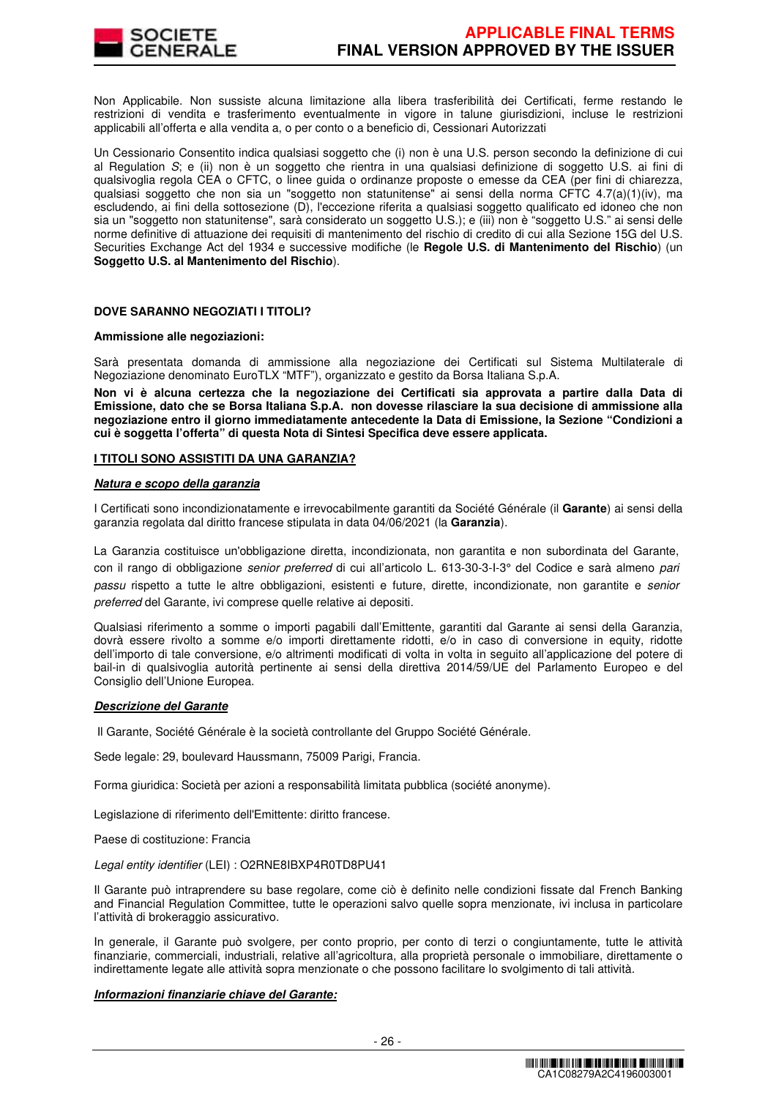

Non Applicabile. Non sussiste alcuna limitazione alla libera trasferibilità dei Certificati, ferme restando le restrizioni di vendita e trasferimento eventualmente in vigore in talune giurisdizioni, incluse le restrizioni applicabili all'offerta e alla vendita a, o per conto o a beneficio di, Cessionari Autorizzati

Un Cessionario Consentito indica qualsiasi soggetto che (i) non è una U.S. person secondo la definizione di cui al Regulation S; e (ii) non è un soggetto che rientra in una qualsiasi definizione di soggetto U.S. ai fini di qualsivoglia regola CEA o CFTC, o linee guida o ordinanze proposte o emesse da CEA (per fini di chiarezza, qualsiasi soggetto che non sia un "soggetto non statunitense" ai sensi della norma CFTC 4.7(a)(1)(iv), ma escludendo, ai fini della sottosezione (D), l'eccezione riferita a qualsiasi soggetto qualificato ed idoneo che non sia un "soggetto non statunitense", sarà considerato un soggetto U.S.); e (iii) non è "soggetto U.S." ai sensi delle norme definitive di attuazione dei requisiti di mantenimento del rischio di credito di cui alla Sezione 15G del U.S. Securities Exchange Act del 1934 e successive modifiche (le **Regole U.S. di Mantenimento del Rischio**) (un **Soggetto U.S. al Mantenimento del Rischio**).

# **DOVE SARANNO NEGOZIATI I TITOLI?**

#### **Ammissione alle negoziazioni:**

Sarà presentata domanda di ammissione alla negoziazione dei Certificati sul Sistema Multilaterale di Negoziazione denominato EuroTLX "MTF"), organizzato e gestito da Borsa Italiana S.p.A.

**Non vi è alcuna certezza che la negoziazione dei Certificati sia approvata a partire dalla Data di Emissione, dato che se Borsa Italiana S.p.A. non dovesse rilasciare la sua decisione di ammissione alla negoziazione entro il giorno immediatamente antecedente la Data di Emissione, la Sezione "Condizioni a cui è soggetta l'offerta" di questa Nota di Sintesi Specifica deve essere applicata.** 

#### **I TITOLI SONO ASSISTITI DA UNA GARANZIA?**

#### **Natura e scopo della garanzia**

I Certificati sono incondizionatamente e irrevocabilmente garantiti da Société Générale (il **Garante**) ai sensi della garanzia regolata dal diritto francese stipulata in data 04/06/2021 (la **Garanzia**).

La Garanzia costituisce un'obbligazione diretta, incondizionata, non garantita e non subordinata del Garante, con il rango di obbligazione senior preferred di cui all'articolo L. 613-30-3-I-3° del Codice e sarà almeno pari passu rispetto a tutte le altre obbligazioni, esistenti e future, dirette, incondizionate, non garantite e senior preferred del Garante, ivi comprese quelle relative ai depositi.

Qualsiasi riferimento a somme o importi pagabili dall'Emittente, garantiti dal Garante ai sensi della Garanzia, dovrà essere rivolto a somme e/o importi direttamente ridotti, e/o in caso di conversione in equity, ridotte dell'importo di tale conversione, e/o altrimenti modificati di volta in volta in seguito all'applicazione del potere di bail-in di qualsivoglia autorità pertinente ai sensi della direttiva 2014/59/UE del Parlamento Europeo e del Consiglio dell'Unione Europea.

#### **Descrizione del Garante**

Il Garante, Société Générale è la società controllante del Gruppo Société Générale.

Sede legale: 29, boulevard Haussmann, 75009 Parigi, Francia.

Forma giuridica: Società per azioni a responsabilità limitata pubblica (société anonyme).

Legislazione di riferimento dell'Emittente: diritto francese.

Paese di costituzione: Francia

#### Legal entity identifier (LEI) : O2RNE8IBXP4R0TD8PU41

Il Garante può intraprendere su base regolare, come ciò è definito nelle condizioni fissate dal French Banking and Financial Regulation Committee, tutte le operazioni salvo quelle sopra menzionate, ivi inclusa in particolare l'attività di brokeraggio assicurativo.

In generale, il Garante può svolgere, per conto proprio, per conto di terzi o congiuntamente, tutte le attività finanziarie, commerciali, industriali, relative all'agricoltura, alla proprietà personale o immobiliare, direttamente o indirettamente legate alle attività sopra menzionate o che possono facilitare lo svolgimento di tali attività.

#### **Informazioni finanziarie chiave del Garante:**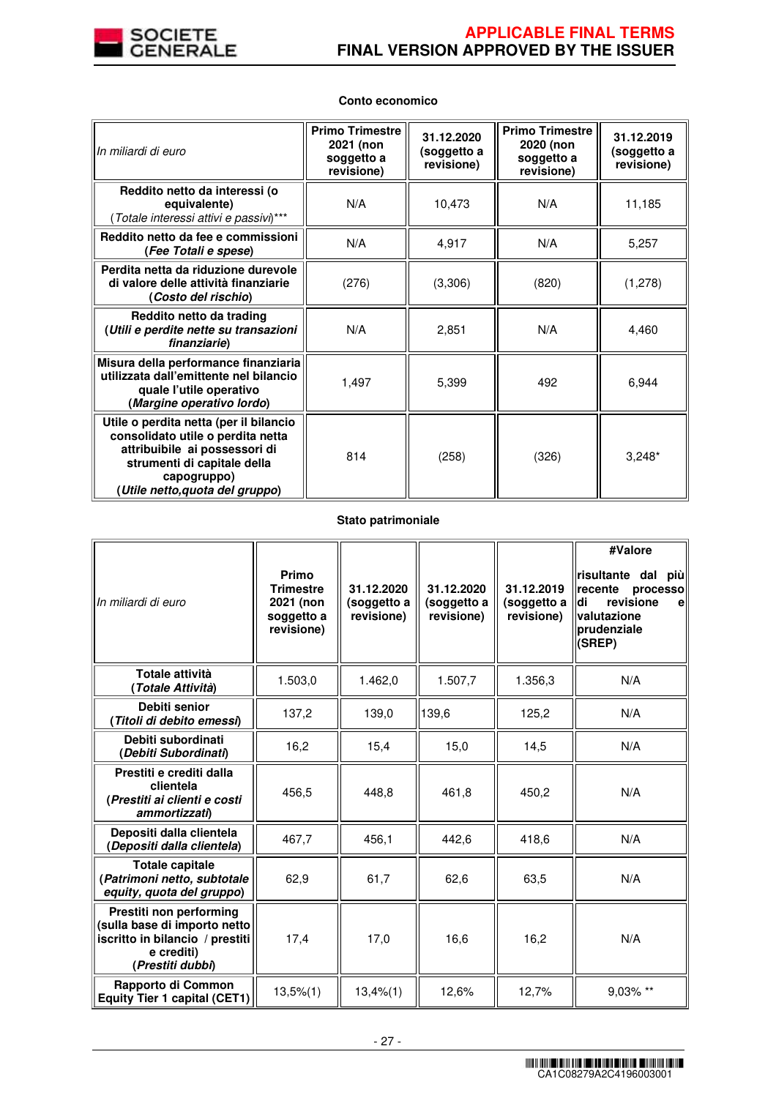

| In miliardi di euro                                                                                                                                                                          | <b>Primo Trimestre</b><br>2021 (non<br>soggetto a<br>revisione) | 31.12.2020<br>(soggetto a<br>revisione) | <b>Primo Trimestre</b><br>2020 (non<br>soggetto a<br>revisione) | 31.12.2019<br>(soggetto a<br>revisione) |
|----------------------------------------------------------------------------------------------------------------------------------------------------------------------------------------------|-----------------------------------------------------------------|-----------------------------------------|-----------------------------------------------------------------|-----------------------------------------|
| Reddito netto da interessi (o<br>equivalente)<br>(Totale interessi attivi e passivi)***                                                                                                      | N/A                                                             | 10,473                                  | N/A                                                             | 11,185                                  |
| Reddito netto da fee e commissioni<br>(Fee Totali e spese)                                                                                                                                   | N/A                                                             | 4,917                                   | N/A                                                             | 5,257                                   |
| Perdita netta da riduzione durevole<br>di valore delle attività finanziarie<br>(Costo del rischio)                                                                                           | (276)                                                           | (3,306)                                 | (820)                                                           | (1,278)                                 |
| Reddito netto da trading<br>(Utili e perdite nette su transazioni<br>finanziarie)                                                                                                            | N/A                                                             | 2,851                                   | N/A                                                             | 4,460                                   |
| Misura della performance finanziaria<br>utilizzata dall'emittente nel bilancio<br>quale l'utile operativo<br>(Margine operativo lordo)                                                       | 1,497                                                           | 5,399                                   | 492                                                             | 6,944                                   |
| Utile o perdita netta (per il bilancio<br>consolidato utile o perdita netta<br>attribuibile ai possessori di<br>strumenti di capitale della<br>capogruppo)<br>(Utile netto,quota del gruppo) | 814                                                             | (258)                                   | (326)                                                           | $3,248*$                                |

# **Conto economico**

# **Stato patrimoniale**

| In miliardi di euro                                                                                                          | Primo<br><b>Trimestre</b><br>2021 (non<br>soggetto a<br>revisione) | 31.12.2020<br>(soggetto a<br>revisione) | 31.12.2020<br>(soggetto a<br>revisione) | 31.12.2019<br>(soggetto a<br>revisione) | #Valore<br>risultante dal più<br>recente<br>processo<br>revisione<br>di<br>e<br>valutazione<br>prudenziale<br>(SREP) |
|------------------------------------------------------------------------------------------------------------------------------|--------------------------------------------------------------------|-----------------------------------------|-----------------------------------------|-----------------------------------------|----------------------------------------------------------------------------------------------------------------------|
| Totale attività<br>Totale Attività)                                                                                          | 1.503,0                                                            | 1.462,0                                 | 1.507,7                                 | 1.356,3                                 | N/A                                                                                                                  |
| Debiti senior<br>(Titoli di debito emessi)                                                                                   | 137,2                                                              | 139,0                                   | 139,6                                   | 125,2                                   | N/A                                                                                                                  |
| Debiti subordinati<br>(Debiti Subordinati)                                                                                   | 16,2                                                               | 15,4                                    | 15,0                                    | 14,5                                    | N/A                                                                                                                  |
| Prestiti e crediti dalla<br>clientela<br>(Prestiti ai clienti e costi<br>ammortizzati)                                       | 456,5                                                              | 448,8                                   | 461,8                                   | 450,2                                   | N/A                                                                                                                  |
| Depositi dalla clientela<br>(Depositi dalla clientela)                                                                       | 467,7                                                              | 456,1                                   | 442,6                                   | 418,6                                   | N/A                                                                                                                  |
| <b>Totale capitale</b><br>(Patrimoni netto, subtotale<br>equity, quota del gruppo)                                           | 62,9                                                               | 61,7                                    | 62,6                                    | 63,5                                    | N/A                                                                                                                  |
| Prestiti non performing<br>(sulla base di importo netto<br>iscritto in bilancio / prestiti<br>e crediti)<br>(Prestiti dubbi) | 17,4                                                               | 17,0                                    | 16,6                                    | 16,2                                    | N/A                                                                                                                  |
| Rapporto di Common<br><b>Equity Tier 1 capital (CET1)</b>                                                                    | $13,5\%$ $(1)$                                                     | 13,4%(1)                                | 12,6%                                   | 12,7%                                   | 9.03% **                                                                                                             |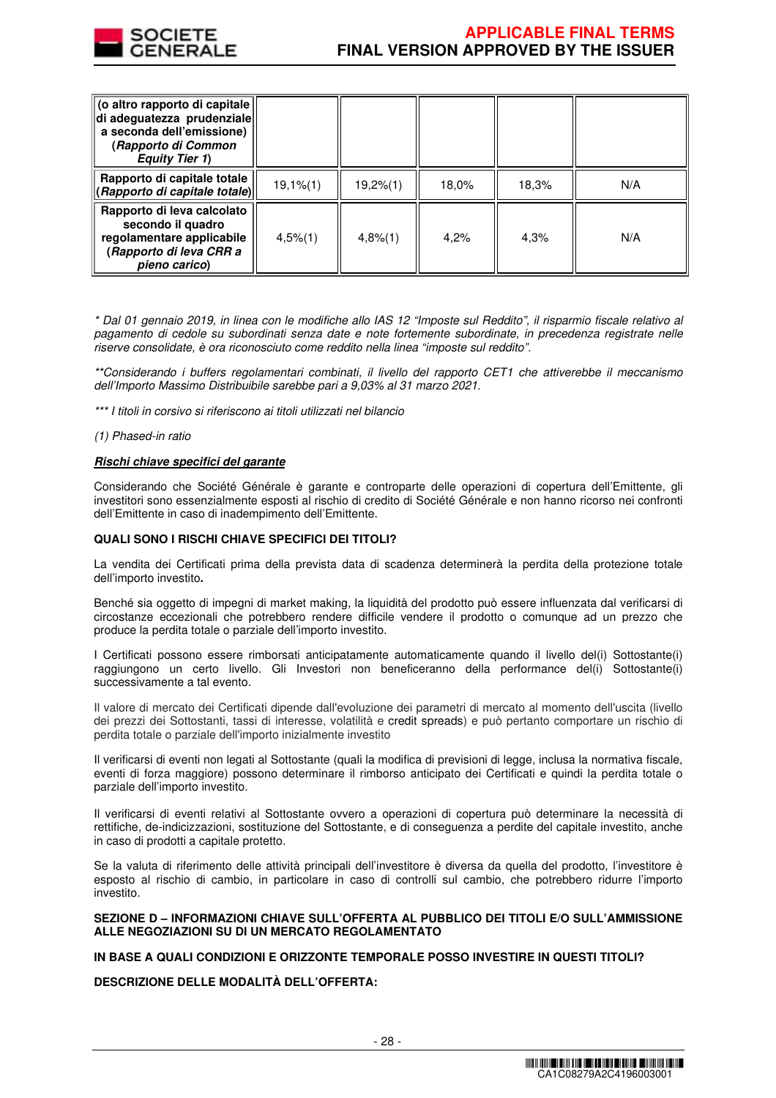

| (o altro rapporto di capitale)<br>di adeguatezza prudenziale<br>a seconda dell'emissione)<br>(Rapporto di Common<br><b>Equity Tier 1)</b> |             |          |       |       |     |
|-------------------------------------------------------------------------------------------------------------------------------------------|-------------|----------|-------|-------|-----|
| Rapporto di capitale totale<br>(Rapporto di capitale totale)                                                                              | $19,1%$ (1) | 19,2%(1) | 18,0% | 18,3% | N/A |
| Rapporto di leva calcolato<br>secondo il quadro<br>regolamentare applicabile<br>(Rapporto di leva CRR a<br>pieno carico)                  | $4,5\%$ (1) | 4,8%(1)  | 4.2%  | 4.3%  | N/A |

\* Dal 01 gennaio 2019, in linea con le modifiche allo IAS 12 "Imposte sul Reddito", il risparmio fiscale relativo al pagamento di cedole su subordinati senza date e note fortemente subordinate, in precedenza registrate nelle riserve consolidate, è ora riconosciuto come reddito nella linea "imposte sul reddito".

\*\*Considerando i buffers regolamentari combinati, il livello del rapporto CET1 che attiverebbe il meccanismo dell'Importo Massimo Distribuibile sarebbe pari a 9,03% al 31 marzo 2021.

\*\*\* I titoli in corsivo si riferiscono ai titoli utilizzati nel bilancio

(1) Phased-in ratio

#### **Rischi chiave specifici del garante**

Considerando che Société Générale è garante e controparte delle operazioni di copertura dell'Emittente, gli investitori sono essenzialmente esposti al rischio di credito di Société Générale e non hanno ricorso nei confronti dell'Emittente in caso di inadempimento dell'Emittente.

#### **QUALI SONO I RISCHI CHIAVE SPECIFICI DEI TITOLI?**

La vendita dei Certificati prima della prevista data di scadenza determinerà la perdita della protezione totale dell'importo investito**.**

Benché sia oggetto di impegni di market making, la liquidità del prodotto può essere influenzata dal verificarsi di circostanze eccezionali che potrebbero rendere difficile vendere il prodotto o comunque ad un prezzo che produce la perdita totale o parziale dell'importo investito.

I Certificati possono essere rimborsati anticipatamente automaticamente quando il livello del(i) Sottostante(i) raggiungono un certo livello. Gli Investori non beneficeranno della performance del(i) Sottostante(i) successivamente a tal evento.

Il valore di mercato dei Certificati dipende dall'evoluzione dei parametri di mercato al momento dell'uscita (livello dei prezzi dei Sottostanti, tassi di interesse, volatilità e credit spreads) e può pertanto comportare un rischio di perdita totale o parziale dell'importo inizialmente investito

Il verificarsi di eventi non legati al Sottostante (quali la modifica di previsioni di legge, inclusa la normativa fiscale, eventi di forza maggiore) possono determinare il rimborso anticipato dei Certificati e quindi la perdita totale o parziale dell'importo investito.

Il verificarsi di eventi relativi al Sottostante ovvero a operazioni di copertura può determinare la necessità di rettifiche, de-indicizzazioni, sostituzione del Sottostante, e di conseguenza a perdite del capitale investito, anche in caso di prodotti a capitale protetto.

Se la valuta di riferimento delle attività principali dell'investitore è diversa da quella del prodotto, l'investitore è esposto al rischio di cambio, in particolare in caso di controlli sul cambio, che potrebbero ridurre l'importo investito.

#### **SEZIONE D – INFORMAZIONI CHIAVE SULL'OFFERTA AL PUBBLICO DEI TITOLI E/O SULL'AMMISSIONE ALLE NEGOZIAZIONI SU DI UN MERCATO REGOLAMENTATO**

# **IN BASE A QUALI CONDIZIONI E ORIZZONTE TEMPORALE POSSO INVESTIRE IN QUESTI TITOLI?**

# **DESCRIZIONE DELLE MODALITÀ DELL'OFFERTA:**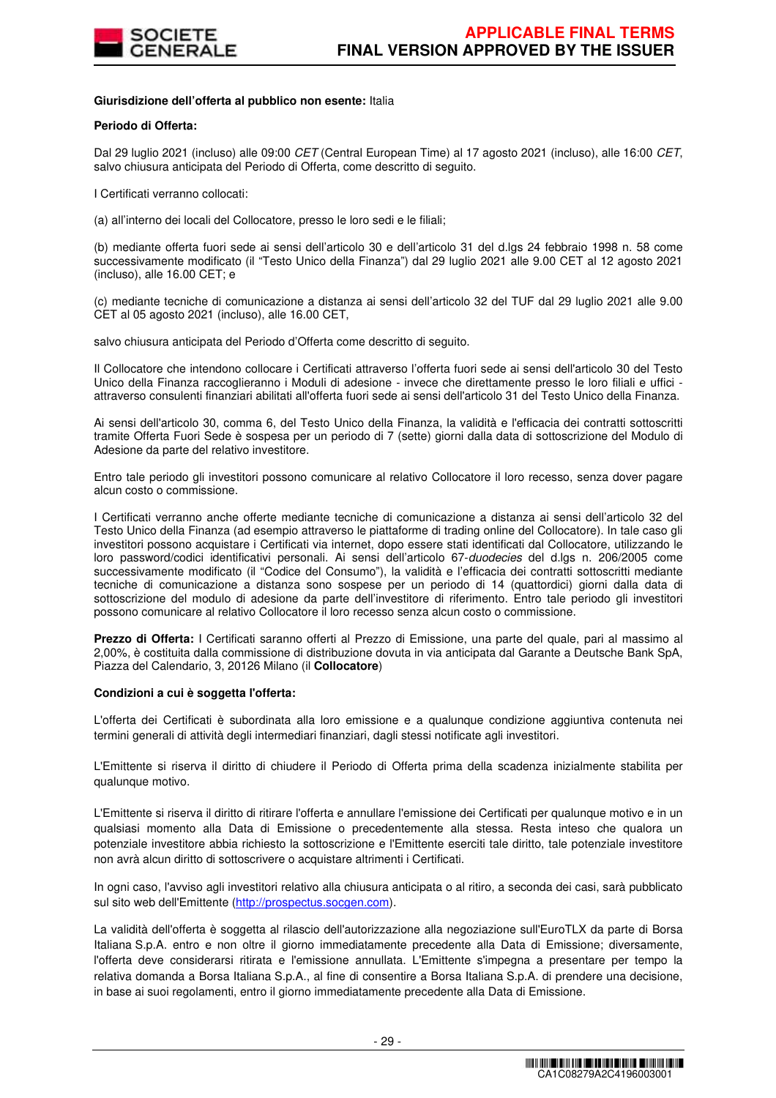

#### **Giurisdizione dell'offerta al pubblico non esente:** Italia

#### **Periodo di Offerta:**

Dal 29 luglio 2021 (incluso) alle 09:00 CET (Central European Time) al 17 agosto 2021 (incluso), alle 16:00 CET, salvo chiusura anticipata del Periodo di Offerta, come descritto di seguito.

I Certificati verranno collocati:

(a) all'interno dei locali del Collocatore, presso le loro sedi e le filiali;

(b) mediante offerta fuori sede ai sensi dell'articolo 30 e dell'articolo 31 del d.lgs 24 febbraio 1998 n. 58 come successivamente modificato (il "Testo Unico della Finanza") dal 29 luglio 2021 alle 9.00 CET al 12 agosto 2021 (incluso), alle 16.00 CET; e

(c) mediante tecniche di comunicazione a distanza ai sensi dell'articolo 32 del TUF dal 29 luglio 2021 alle 9.00 CET al 05 agosto 2021 (incluso), alle 16.00 CET,

salvo chiusura anticipata del Periodo d'Offerta come descritto di seguito.

Il Collocatore che intendono collocare i Certificati attraverso l'offerta fuori sede ai sensi dell'articolo 30 del Testo Unico della Finanza raccoglieranno i Moduli di adesione - invece che direttamente presso le loro filiali e uffici attraverso consulenti finanziari abilitati all'offerta fuori sede ai sensi dell'articolo 31 del Testo Unico della Finanza.

Ai sensi dell'articolo 30, comma 6, del Testo Unico della Finanza, la validità e l'efficacia dei contratti sottoscritti tramite Offerta Fuori Sede è sospesa per un periodo di 7 (sette) giorni dalla data di sottoscrizione del Modulo di Adesione da parte del relativo investitore.

Entro tale periodo gli investitori possono comunicare al relativo Collocatore il loro recesso, senza dover pagare alcun costo o commissione.

I Certificati verranno anche offerte mediante tecniche di comunicazione a distanza ai sensi dell'articolo 32 del Testo Unico della Finanza (ad esempio attraverso le piattaforme di trading online del Collocatore). In tale caso gli investitori possono acquistare i Certificati via internet, dopo essere stati identificati dal Collocatore, utilizzando le loro password/codici identificativi personali. Ai sensi dell'articolo 67-duodecies del d.lgs n. 206/2005 come successivamente modificato (il "Codice del Consumo"), la validità e l'efficacia dei contratti sottoscritti mediante tecniche di comunicazione a distanza sono sospese per un periodo di 14 (quattordici) giorni dalla data di sottoscrizione del modulo di adesione da parte dell'investitore di riferimento. Entro tale periodo gli investitori possono comunicare al relativo Collocatore il loro recesso senza alcun costo o commissione.

**Prezzo di Offerta:** I Certificati saranno offerti al Prezzo di Emissione, una parte del quale, pari al massimo al 2,00%, è costituita dalla commissione di distribuzione dovuta in via anticipata dal Garante a Deutsche Bank SpA, Piazza del Calendario, 3, 20126 Milano (il **Collocatore**)

#### **Condizioni a cui è soggetta l'offerta:**

L'offerta dei Certificati è subordinata alla loro emissione e a qualunque condizione aggiuntiva contenuta nei termini generali di attività degli intermediari finanziari, dagli stessi notificate agli investitori.

L'Emittente si riserva il diritto di chiudere il Periodo di Offerta prima della scadenza inizialmente stabilita per qualunque motivo.

L'Emittente si riserva il diritto di ritirare l'offerta e annullare l'emissione dei Certificati per qualunque motivo e in un qualsiasi momento alla Data di Emissione o precedentemente alla stessa. Resta inteso che qualora un potenziale investitore abbia richiesto la sottoscrizione e l'Emittente eserciti tale diritto, tale potenziale investitore non avrà alcun diritto di sottoscrivere o acquistare altrimenti i Certificati.

In ogni caso, l'avviso agli investitori relativo alla chiusura anticipata o al ritiro, a seconda dei casi, sarà pubblicato sul sito web dell'Emittente (http://prospectus.socgen.com).

La validità dell'offerta è soggetta al rilascio dell'autorizzazione alla negoziazione sull'EuroTLX da parte di Borsa Italiana S.p.A. entro e non oltre il giorno immediatamente precedente alla Data di Emissione; diversamente, l'offerta deve considerarsi ritirata e l'emissione annullata. L'Emittente s'impegna a presentare per tempo la relativa domanda a Borsa Italiana S.p.A., al fine di consentire a Borsa Italiana S.p.A. di prendere una decisione, in base ai suoi regolamenti, entro il giorno immediatamente precedente alla Data di Emissione.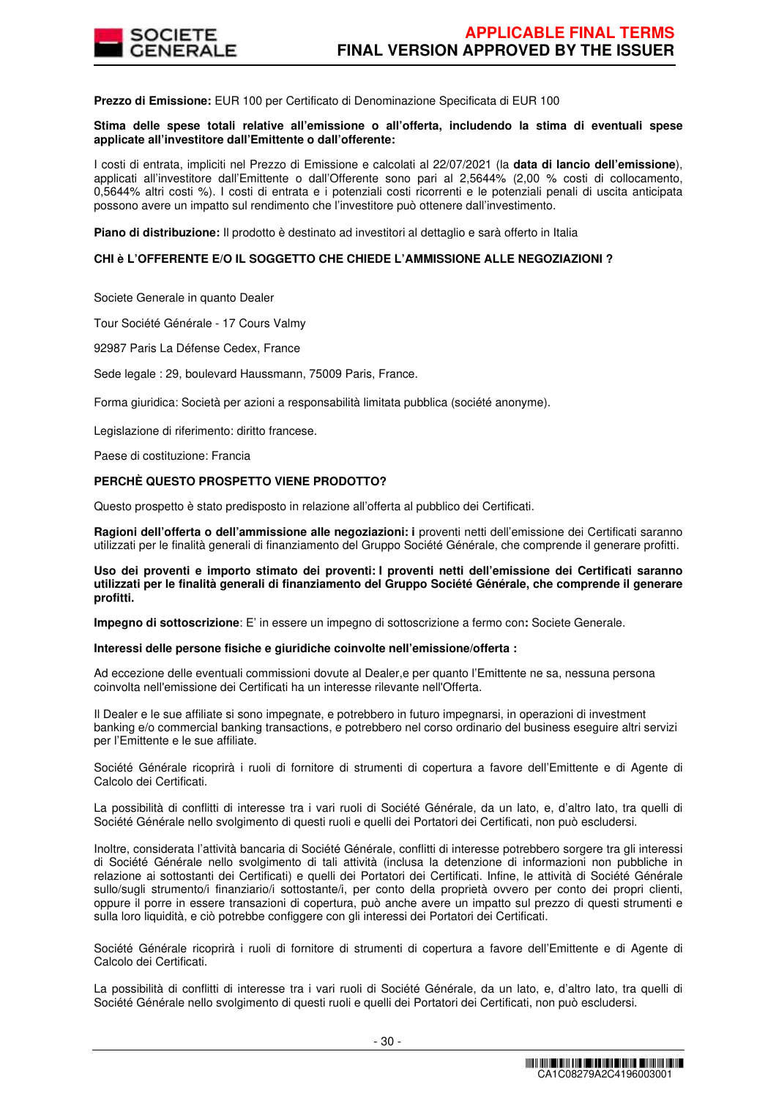

**Prezzo di Emissione:** EUR 100 per Certificato di Denominazione Specificata di EUR 100

#### **Stima delle spese totali relative all'emissione o all'offerta, includendo la stima di eventuali spese applicate all'investitore dall'Emittente o dall'offerente:**

I costi di entrata, impliciti nel Prezzo di Emissione e calcolati al 22/07/2021 (la **data di lancio dell'emissione**), applicati all'investitore dall'Emittente o dall'Offerente sono pari al 2,5644% (2,00 % costi di collocamento, 0,5644% altri costi %). I costi di entrata e i potenziali costi ricorrenti e le potenziali penali di uscita anticipata possono avere un impatto sul rendimento che l'investitore può ottenere dall'investimento.

**Piano di distribuzione:** Il prodotto è destinato ad investitori al dettaglio e sarà offerto in Italia

### **CHI è L'OFFERENTE E/O IL SOGGETTO CHE CHIEDE L'AMMISSIONE ALLE NEGOZIAZIONI ?**

Societe Generale in quanto Dealer

Tour Société Générale - 17 Cours Valmy

92987 Paris La Défense Cedex, France

Sede legale : 29, boulevard Haussmann, 75009 Paris, France.

Forma giuridica: Società per azioni a responsabilità limitata pubblica (société anonyme).

Legislazione di riferimento: diritto francese.

Paese di costituzione: Francia

# **PERCHÈ QUESTO PROSPETTO VIENE PRODOTTO?**

Questo prospetto è stato predisposto in relazione all'offerta al pubblico dei Certificati.

**Ragioni dell'offerta o dell'ammissione alle negoziazioni: i** proventi netti dell'emissione dei Certificati saranno utilizzati per le finalità generali di finanziamento del Gruppo Société Générale, che comprende il generare profitti.

**Uso dei proventi e importo stimato dei proventi: I proventi netti dell'emissione dei Certificati saranno utilizzati per le finalità generali di finanziamento del Gruppo Société Générale, che comprende il generare profitti.** 

**Impegno di sottoscrizione**: E' in essere un impegno di sottoscrizione a fermo con**:** Societe Generale.

#### **Interessi delle persone fisiche e giuridiche coinvolte nell'emissione/offerta :**

Ad eccezione delle eventuali commissioni dovute al Dealer,e per quanto l'Emittente ne sa, nessuna persona coinvolta nell'emissione dei Certificati ha un interesse rilevante nell'Offerta.

Il Dealer e le sue affiliate si sono impegnate, e potrebbero in futuro impegnarsi, in operazioni di investment banking e/o commercial banking transactions, e potrebbero nel corso ordinario del business eseguire altri servizi per l'Emittente e le sue affiliate.

Société Générale ricoprirà i ruoli di fornitore di strumenti di copertura a favore dell'Emittente e di Agente di Calcolo dei Certificati.

La possibilità di conflitti di interesse tra i vari ruoli di Société Générale, da un lato, e, d'altro lato, tra quelli di Société Générale nello svolgimento di questi ruoli e quelli dei Portatori dei Certificati, non può escludersi.

Inoltre, considerata l'attività bancaria di Société Générale, conflitti di interesse potrebbero sorgere tra gli interessi di Société Générale nello svolgimento di tali attività (inclusa la detenzione di informazioni non pubbliche in relazione ai sottostanti dei Certificati) e quelli dei Portatori dei Certificati. Infine, le attività di Société Générale sullo/sugli strumento/i finanziario/i sottostante/i, per conto della proprietà ovvero per conto dei propri clienti, oppure il porre in essere transazioni di copertura, può anche avere un impatto sul prezzo di questi strumenti e sulla loro liquidità, e ciò potrebbe configgere con gli interessi dei Portatori dei Certificati.

Société Générale ricoprirà i ruoli di fornitore di strumenti di copertura a favore dell'Emittente e di Agente di Calcolo dei Certificati.

La possibilità di conflitti di interesse tra i vari ruoli di Société Générale, da un lato, e, d'altro lato, tra quelli di Société Générale nello svolgimento di questi ruoli e quelli dei Portatori dei Certificati, non può escludersi.